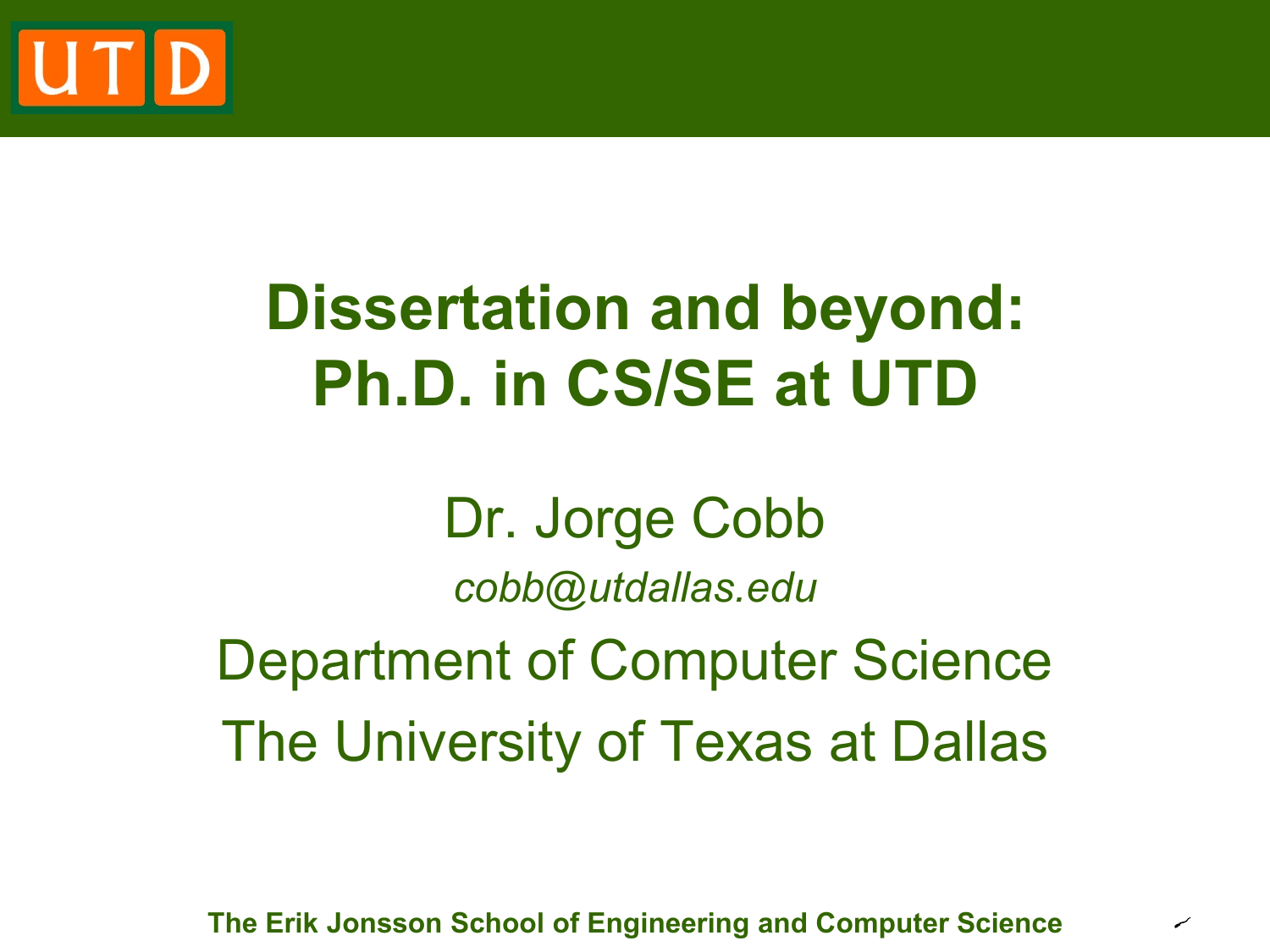

# **Dissertation and beyond: Ph.D. in CS/SE at UTD**

Dr. Jorge Cobb *cobb@utdallas.edu* Department of Computer Science The University of Texas at Dallas

**The Erik Jonsson School of Engineering and Computer Science**

✓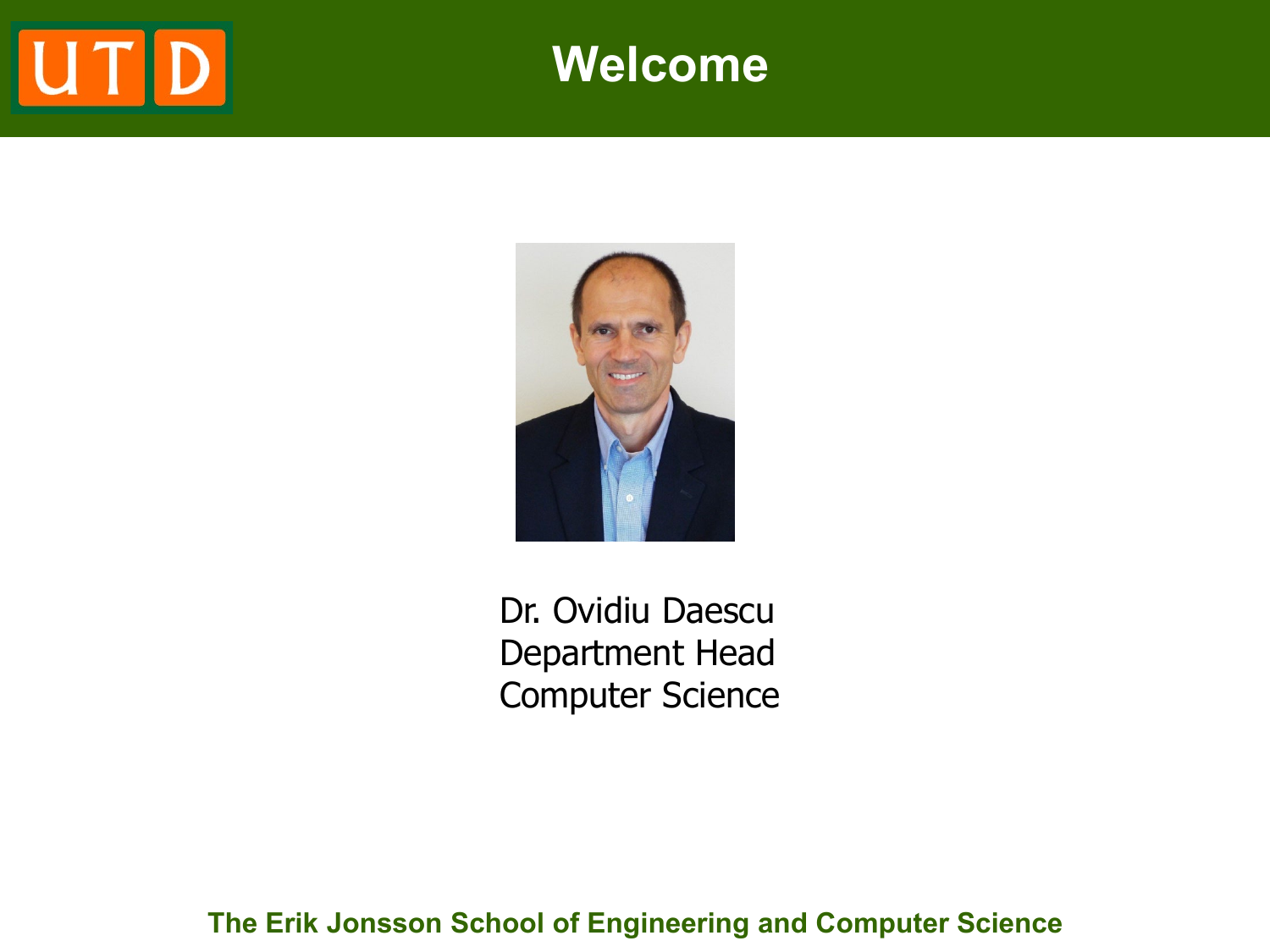# UTD

### **Welcome**



Dr. Ovidiu Daescu Department Head Computer Science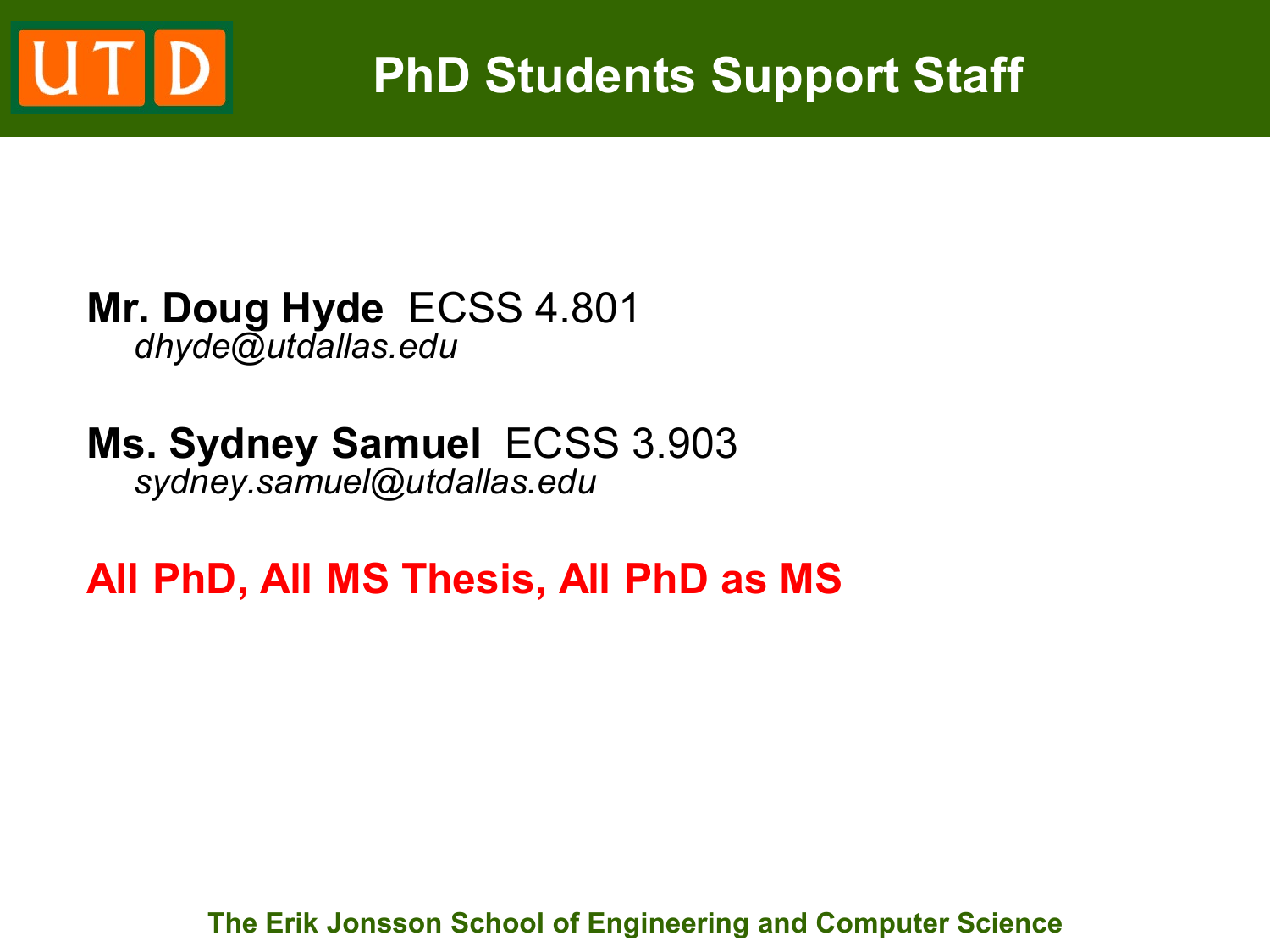

### **PhD Students Support Staff**

#### **Mr. Doug Hyde** ECSS 4.801 *dhyde@utdallas.edu*

### **Ms. Sydney Samuel** ECSS 3.903 *sydney.samuel@utdallas.edu*

### **All PhD, All MS Thesis, All PhD as MS**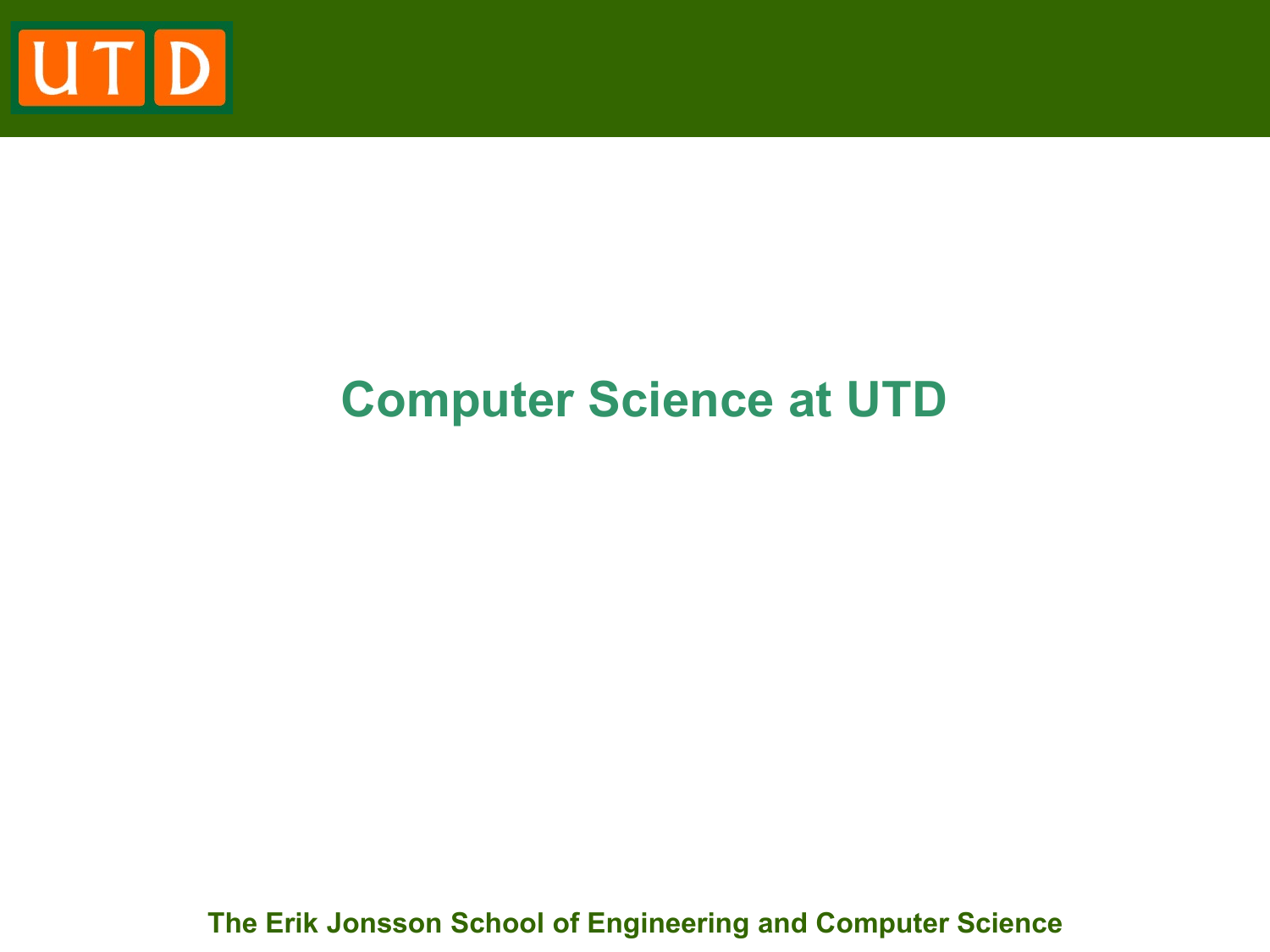

### **Computer Science at UTD**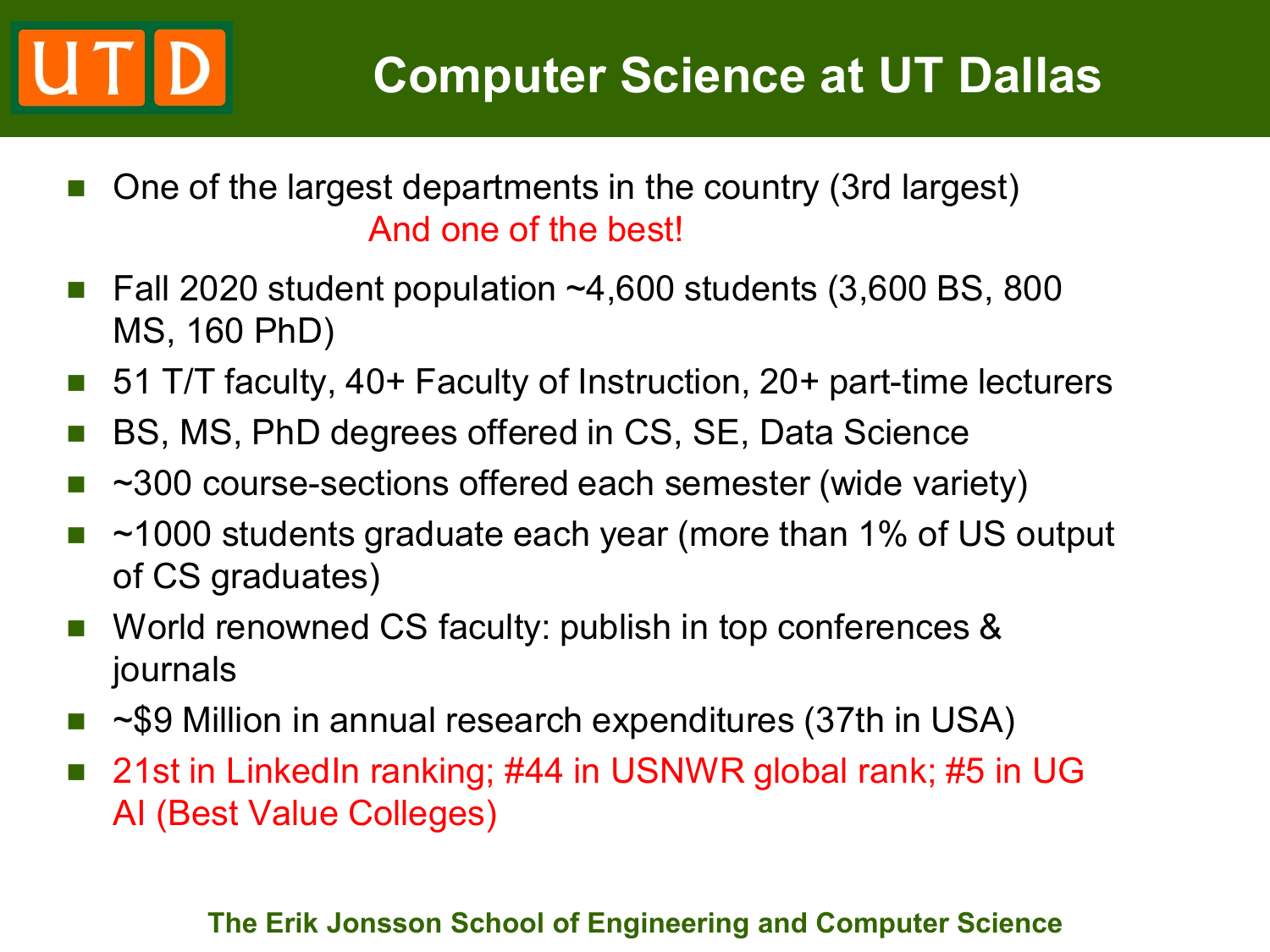- One of the largest departments in the country (3rd largest) And one of the best!
- Fall 2020 student population  $~14,600$  students (3,600 BS, 800 MS, 160 PhD)
- 51 T/T faculty, 40+ Faculty of Instruction, 20+ part-time lecturers
- BS, MS, PhD degrees offered in CS, SE, Data Science
- ~300 course-sections offered each semester (wide variety)
- ~1000 students graduate each year (more than 1% of US output of CS graduates)
- World renowned CS faculty: publish in top conferences & journals
- ~\$9 Million in annual research expenditures (37th in USA)
- 21st in LinkedIn ranking; #44 in USNWR global rank; #5 in UG AI (Best Value Colleges)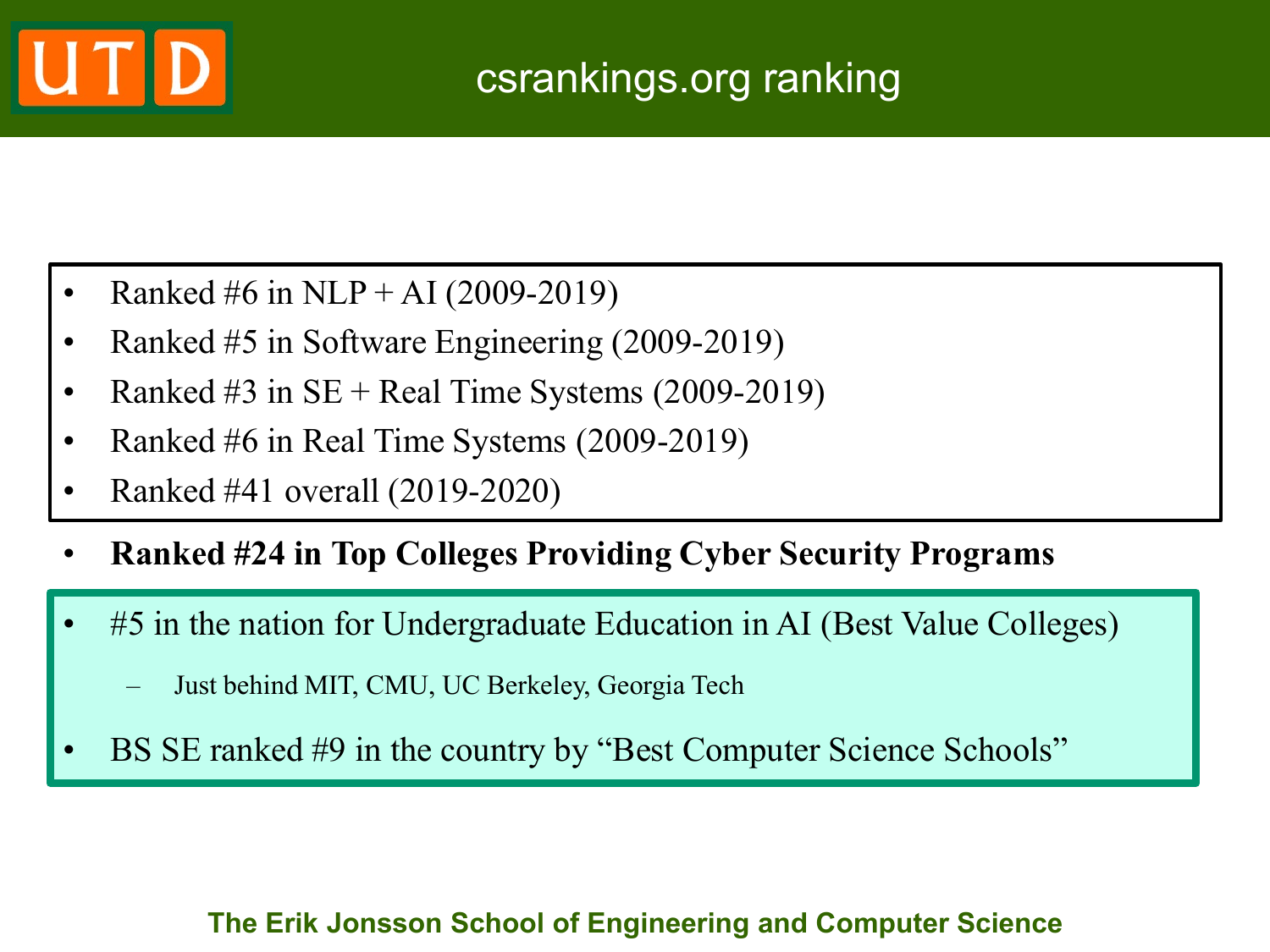

- Ranked #6 in NLP + AI (2009-2019)
- Ranked #5 in Software Engineering (2009-2019)
- Ranked #3 in  $SE + Real$  Time Systems (2009-2019)
- Ranked #6 in Real Time Systems (2009-2019)
- Ranked #41 overall (2019-2020)
- **Ranked #24 in Top Colleges Providing Cyber Security Programs**
- #5 in the nation for Undergraduate Education in AI (Best Value Colleges)
	- Just behind MIT, CMU, UC Berkeley, Georgia Tech
- BS SE ranked #9 in the country by "Best Computer Science Schools"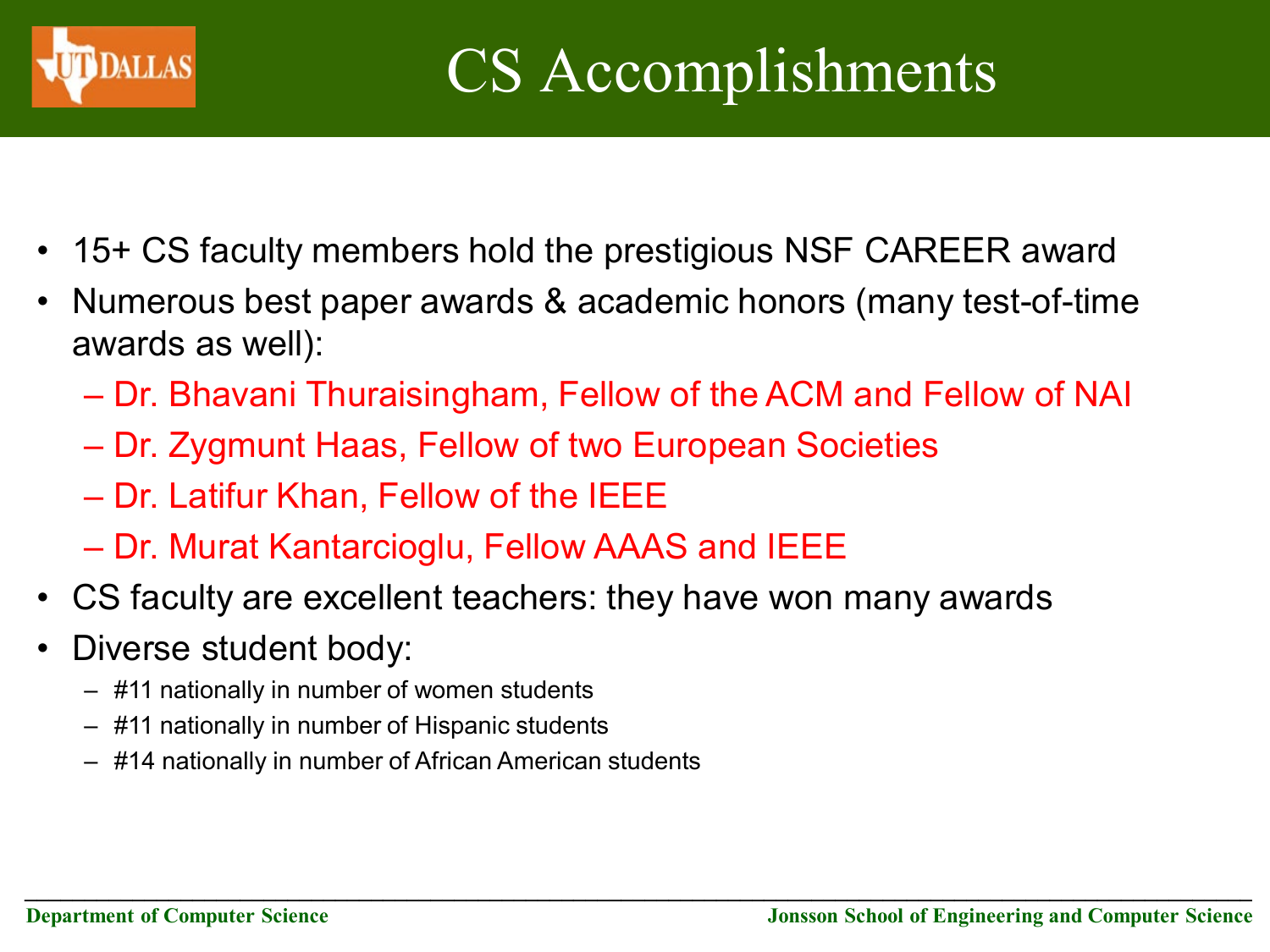

- 15+ CS faculty members hold the prestigious NSF CAREER award
- Numerous best paper awards & academic honors (many test-of-time awards as well):
	- Dr. Bhavani Thuraisingham, Fellow of the ACM and Fellow of NAI

*\_\_\_\_\_\_\_\_\_\_\_\_\_\_\_\_\_\_\_\_\_\_\_\_\_\_\_\_\_\_\_\_\_\_\_\_\_\_\_\_\_\_\_\_\_\_\_\_\_\_\_\_\_\_\_\_\_\_\_\_\_\_\_\_\_\_\_\_\_\_\_\_\_\_\_\_\_\_\_\_\_\_\_\_\_\_\_\_\_\_\_\_\_\_\_\_\_\_\_\_\_\_\_*

- Dr. Zygmunt Haas, Fellow of two European Societies
- Dr. Latifur Khan, Fellow of the IEEE
- Dr. Murat Kantarcioglu, Fellow AAAS and IEEE
- CS faculty are excellent teachers: they have won many awards
- Diverse student body:
	- #11 nationally in number of women students
	- #11 nationally in number of Hispanic students
	- #14 nationally in number of African American students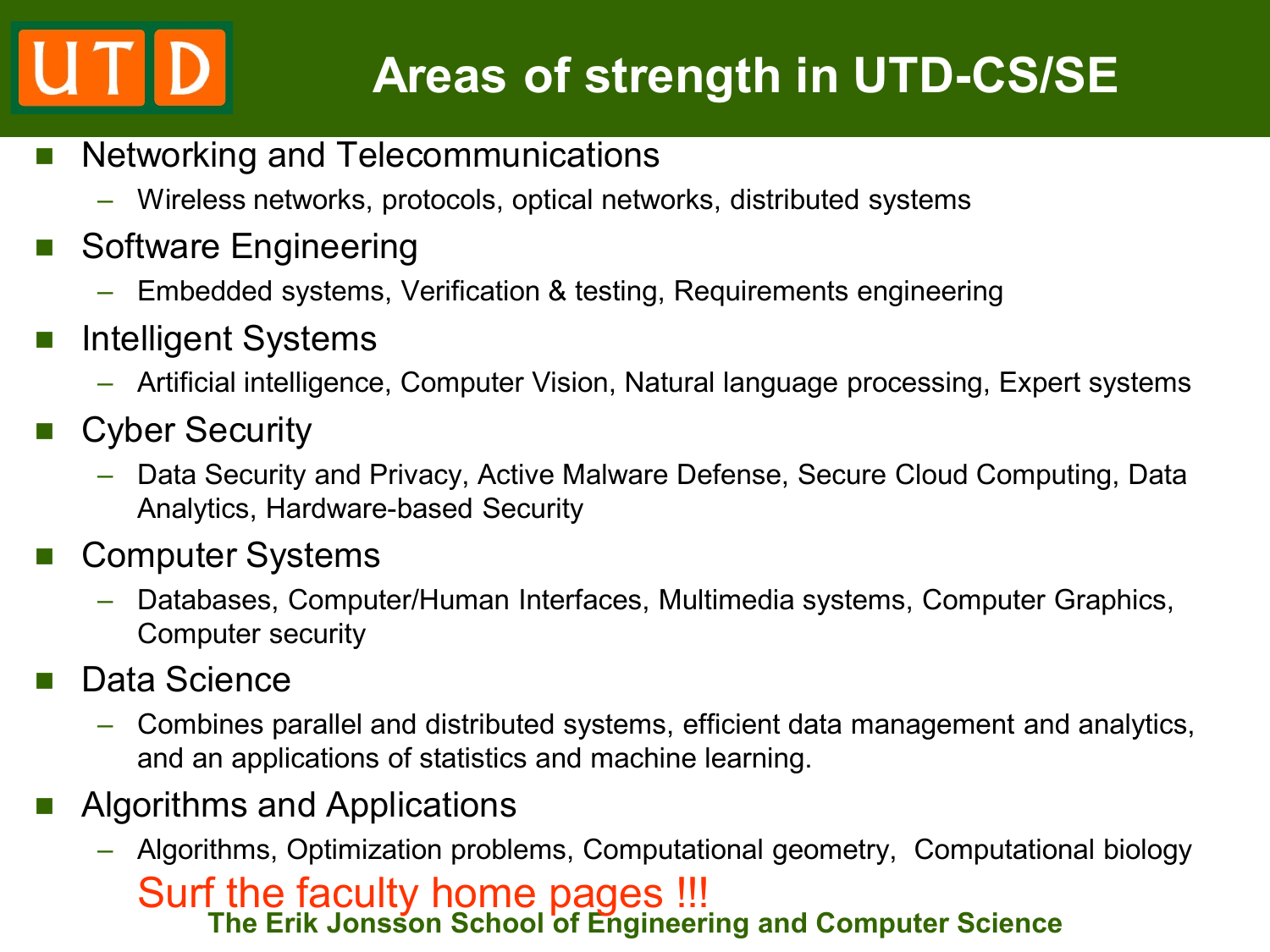# **Areas of strength in UTD-CS/SE**

- **Networking and Telecommunications** 
	- Wireless networks, protocols, optical networks, distributed systems
- Software Engineering
	- Embedded systems, Verification & testing, Requirements engineering
- **Intelligent Systems** 
	- Artificial intelligence, Computer Vision, Natural language processing, Expert systems
- Cyber Security
	- Data Security and Privacy, Active Malware Defense, Secure Cloud Computing, Data Analytics, Hardware-based Security
- Computer Systems
	- Databases, Computer/Human Interfaces, Multimedia systems, Computer Graphics, Computer security
- Data Science
	- Combines parallel and distributed systems, efficient data management and analytics, and an applications of statistics and machine learning.
- Algorithms and Applications
	- **The Erik Jonsson School of Engineering and Computer Science** – Algorithms, Optimization problems, Computational geometry, Computational biology Surf the faculty home pages !!!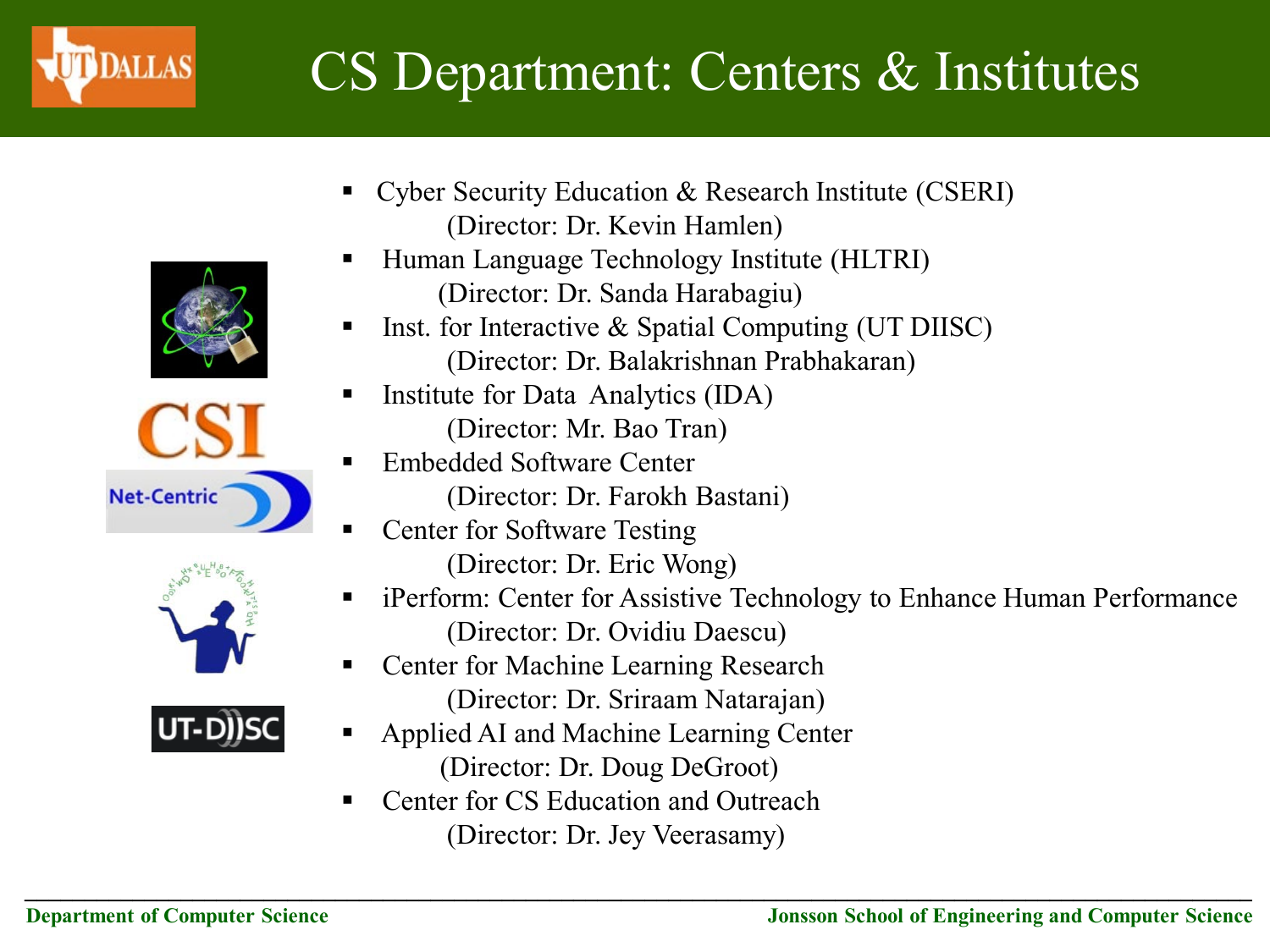

## CS Department: Centers & Institutes









- Cyber Security Education  $\&$  Research Institute (CSERI) (Director: Dr. Kevin Hamlen)
- Human Language Technology Institute (HLTRI) (Director: Dr. Sanda Harabagiu)
- Inst. for Interactive & Spatial Computing (UT DIISC) (Director: Dr. Balakrishnan Prabhakaran)
- **Institute for Data Analytics (IDA)** (Director: Mr. Bao Tran)
	- Embedded Software Center (Director: Dr. Farokh Bastani)
	- Center for Software Testing
		- (Director: Dr. Eric Wong)
- iPerform: Center for Assistive Technology to Enhance Human Performance (Director: Dr. Ovidiu Daescu)
- Center for Machine Learning Research (Director: Dr. Sriraam Natarajan)
- Applied AI and Machine Learning Center (Director: Dr. Doug DeGroot)

*\_\_\_\_\_\_\_\_\_\_\_\_\_\_\_\_\_\_\_\_\_\_\_\_\_\_\_\_\_\_\_\_\_\_\_\_\_\_\_\_\_\_\_\_\_\_\_\_\_\_\_\_\_\_\_\_\_\_\_\_\_\_\_\_\_\_\_\_\_\_\_\_\_\_\_\_\_\_\_\_\_\_\_\_\_\_\_\_\_\_\_\_\_\_\_\_\_\_\_\_\_\_\_*

■ Center for CS Education and Outreach (Director: Dr. Jey Veerasamy)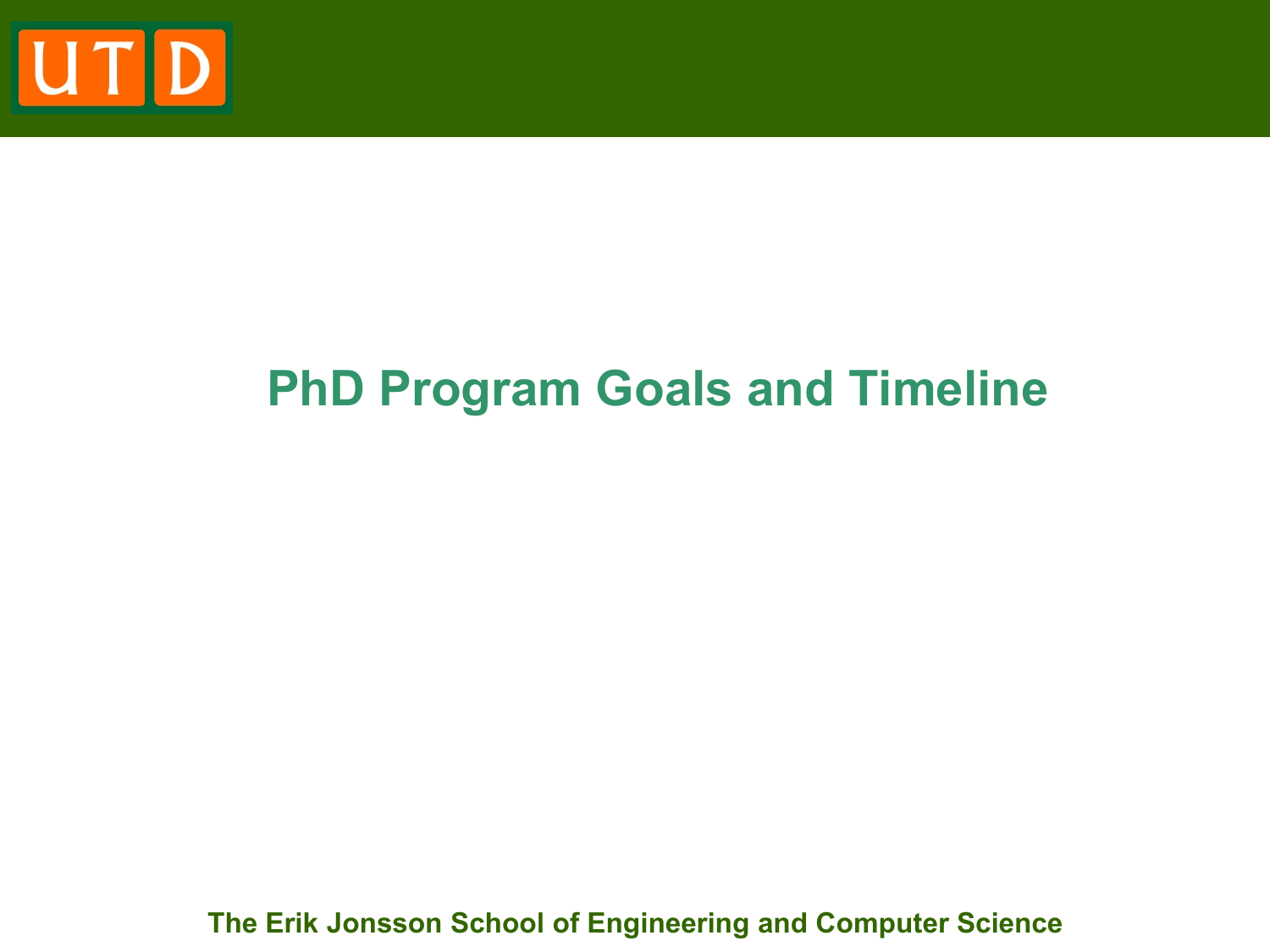

### **PhD Program Goals and Timeline**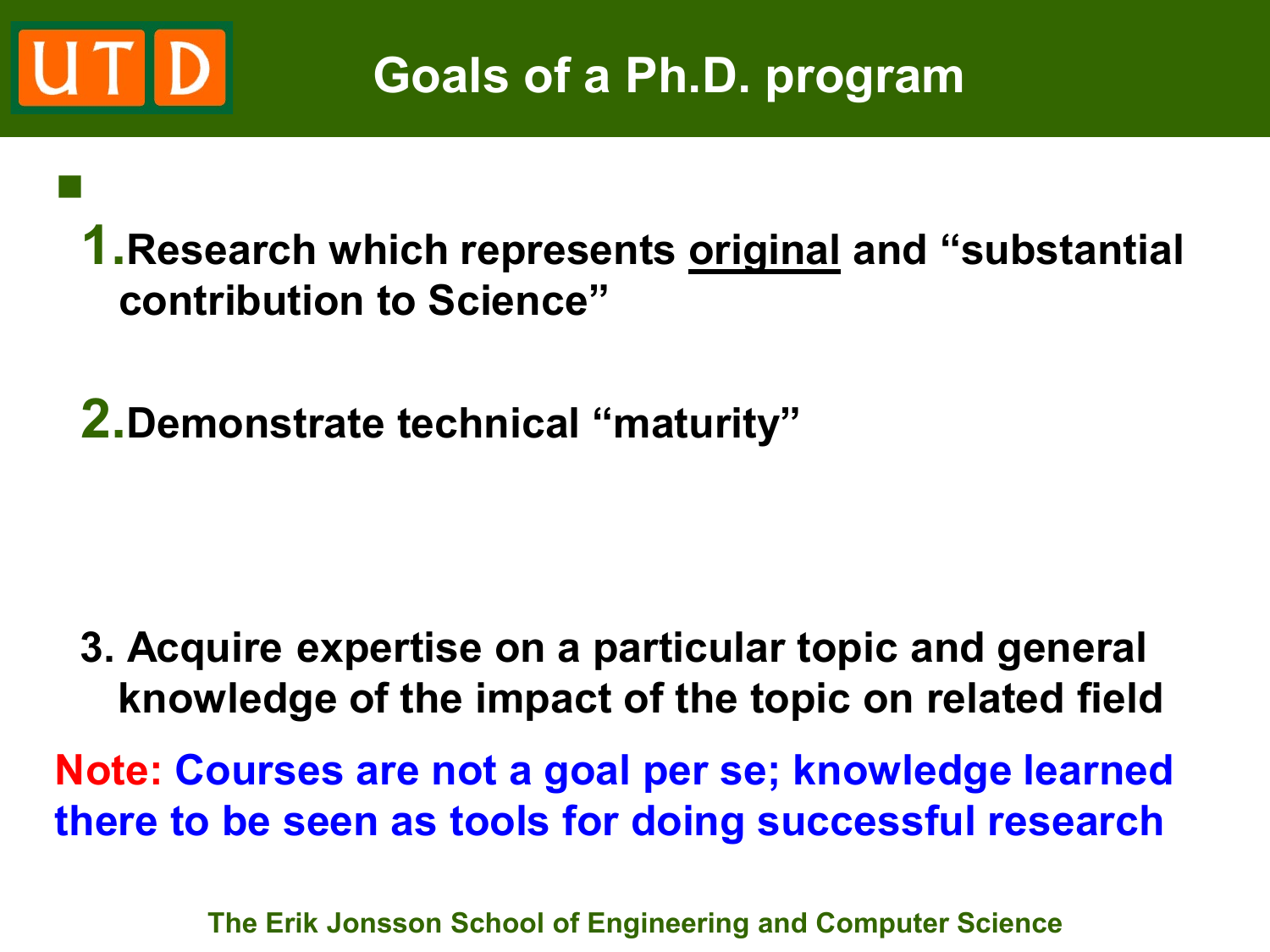

**1.Research which represents original and "substantial contribution to Science"** 

**2.Demonstrate technical "maturity"** 

 $\mathbb{R}^n$ 

**3. Acquire expertise on a particular topic and general knowledge of the impact of the topic on related field**

**Note: Courses are not a goal per se; knowledge learned there to be seen as tools for doing successful research**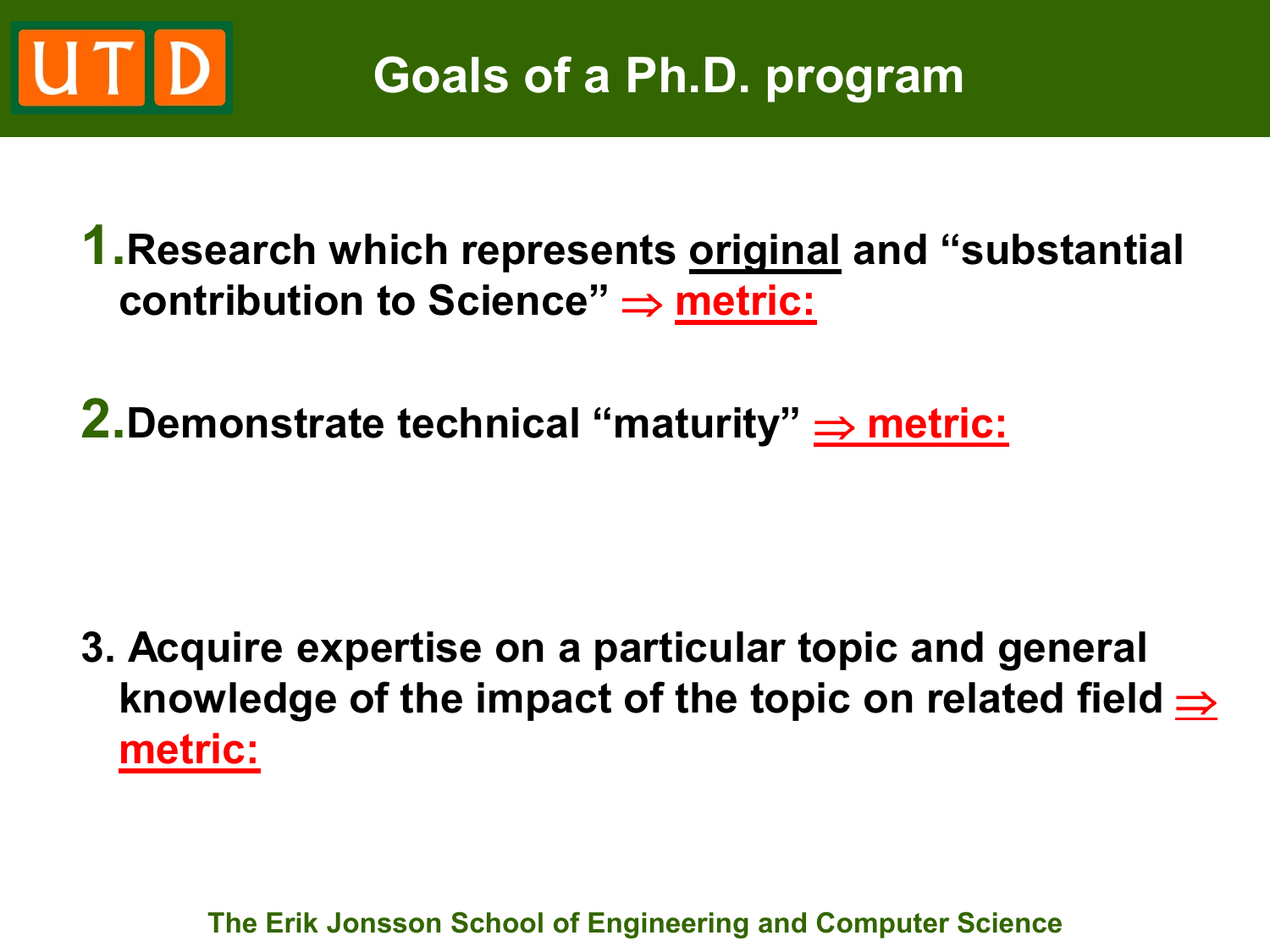

**1.Research which represents original and "substantial contribution to Science" ⇒ metric:** 

**2.Demonstrate technical "maturity"**  $\Rightarrow$  **metric:** 

**3. Acquire expertise on a particular topic and general**  knowledge of the impact of the topic on related field  $\Rightarrow$ **metric:**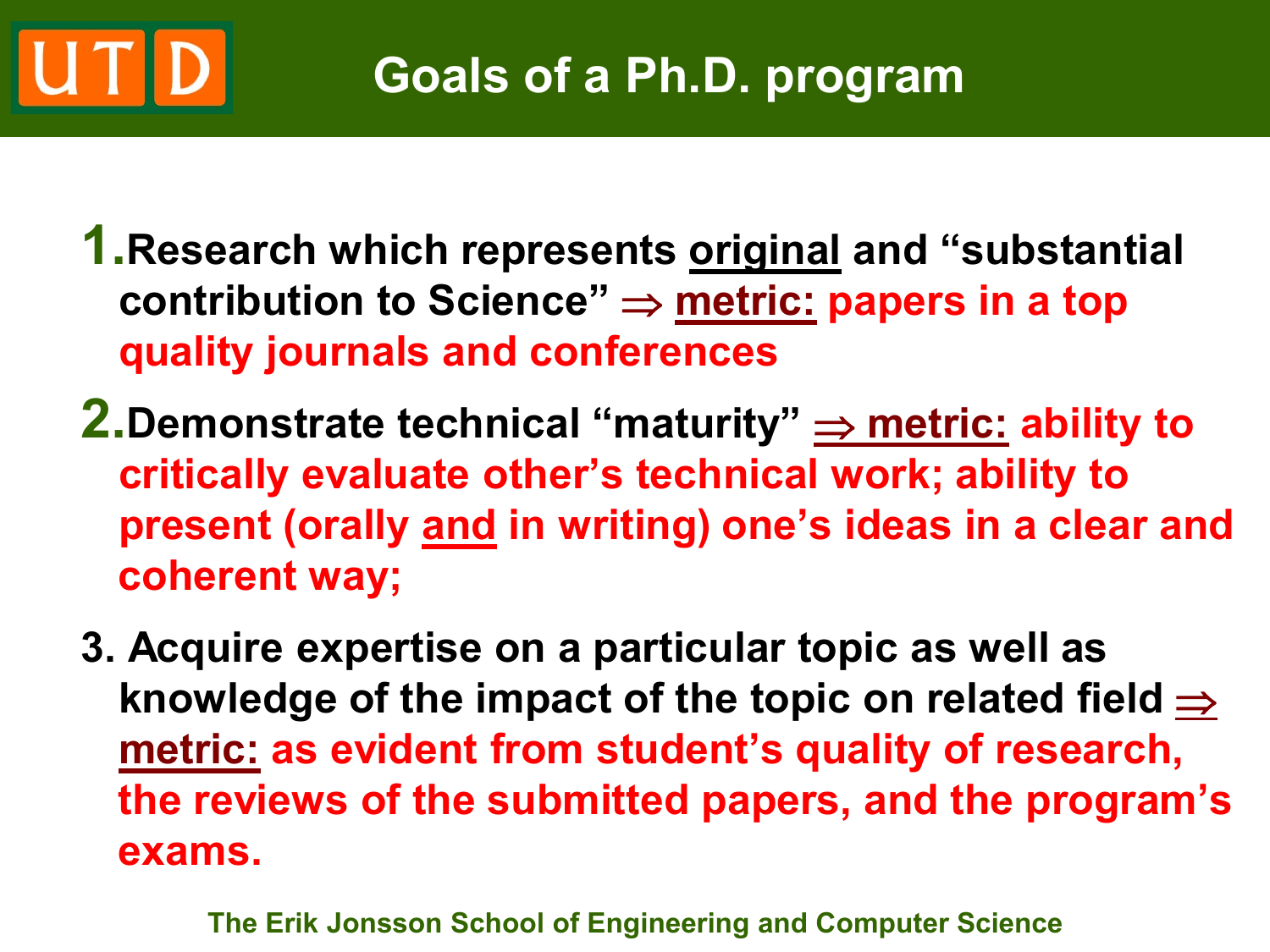# **Goals of a Ph.D. program**

- **1.Research which represents original and "substantial contribution to Science"** ⇒ **metric: papers in a top quality journals and conferences**
- **2.Demonstrate technical "maturity"** ⇒ **metric: ability to critically evaluate other's technical work; ability to present (orally and in writing) one's ideas in a clear and coherent way;**
- **3. Acquire expertise on a particular topic as well as**  knowledge of the impact of the topic on related field  $\Rightarrow$ **metric: as evident from student's quality of research, the reviews of the submitted papers, and the program's exams.**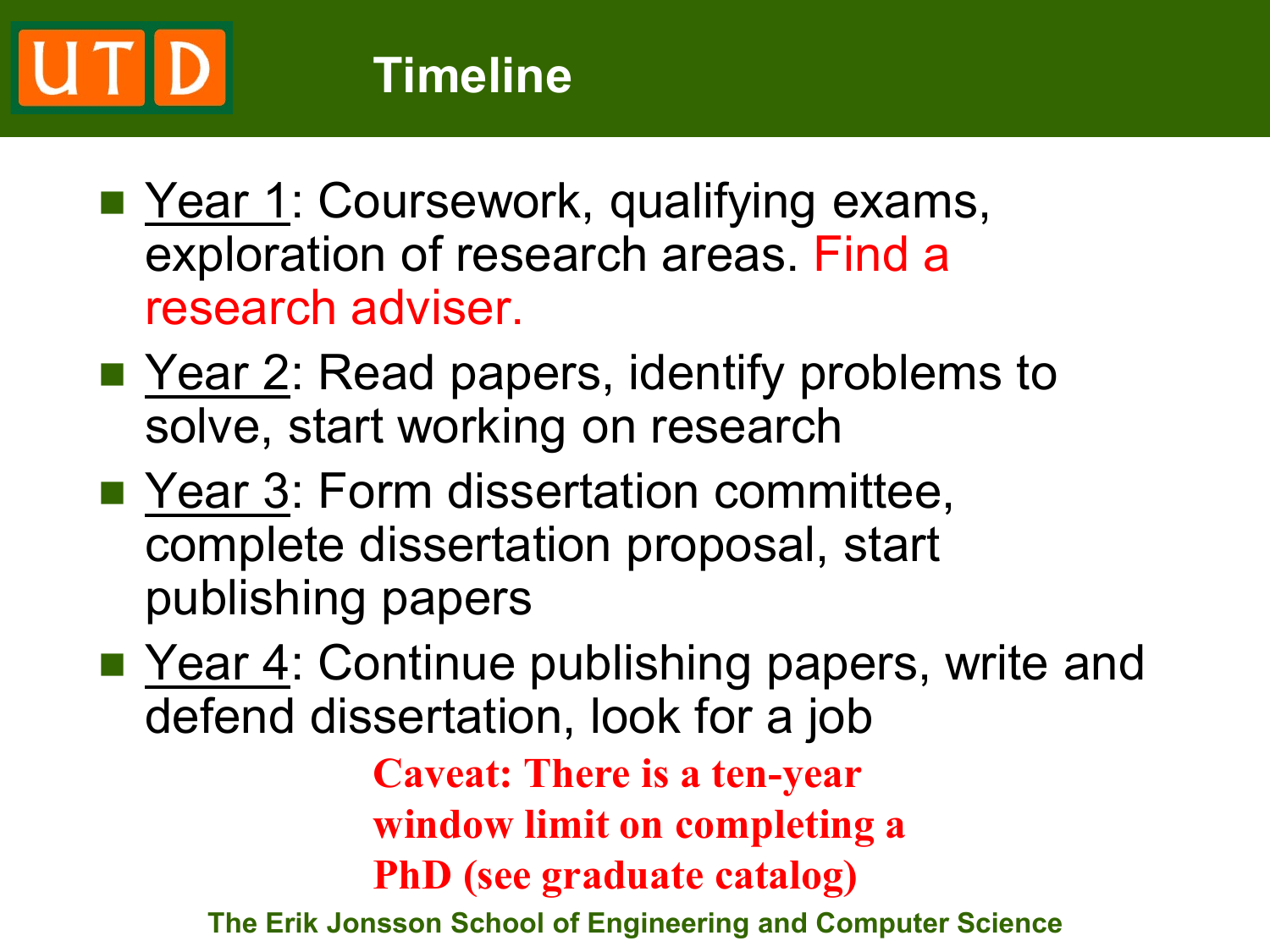- Year 1: Coursework, qualifying exams, exploration of research areas. Find a research adviser.
- Year 2: Read papers, identify problems to solve, start working on research
- Year 3: Form dissertation committee, complete dissertation proposal, start publishing papers
- Year 4: Continue publishing papers, write and defend dissertation, look for a job

**Caveat: There is a ten-year window limit on completing a PhD (see graduate catalog)**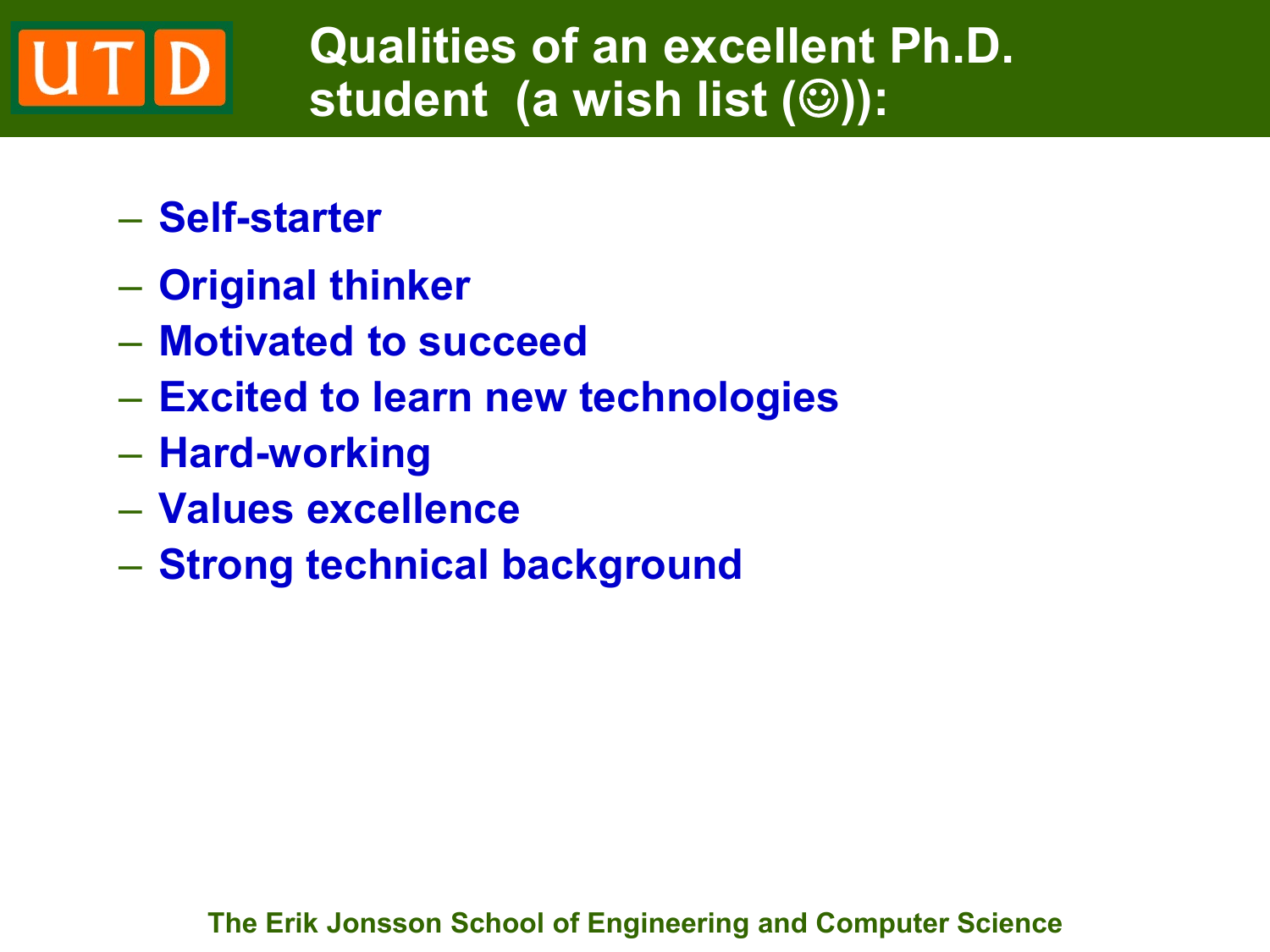### **Qualities of an excellent Ph.D. student** (a wish list (**©**)):

- **Self-starter**
- **Original thinker**
- **Motivated to succeed**
- **Excited to learn new technologies**
- **Hard-working**
- **Values excellence**
- **Strong technical background**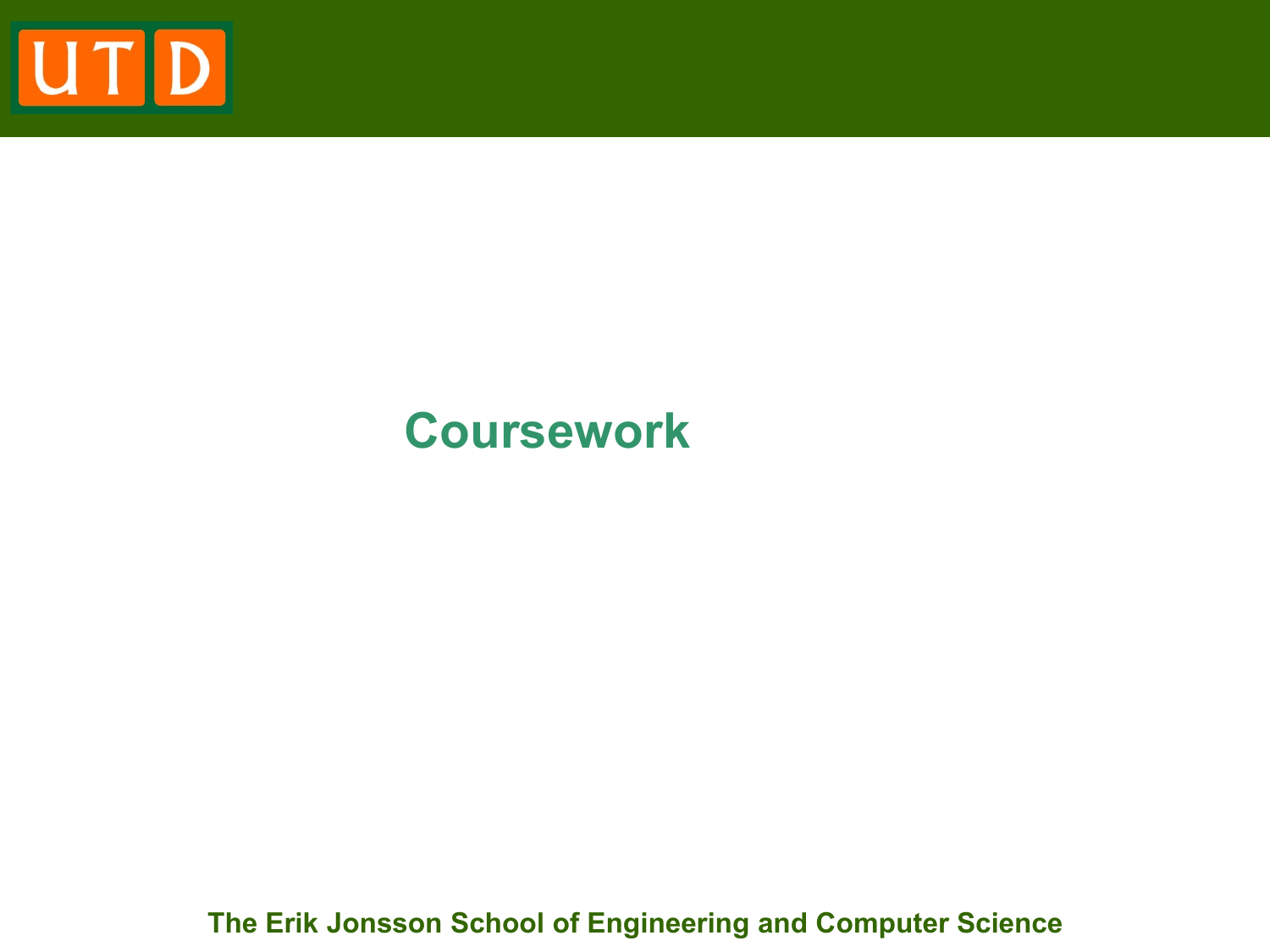

### **Coursework**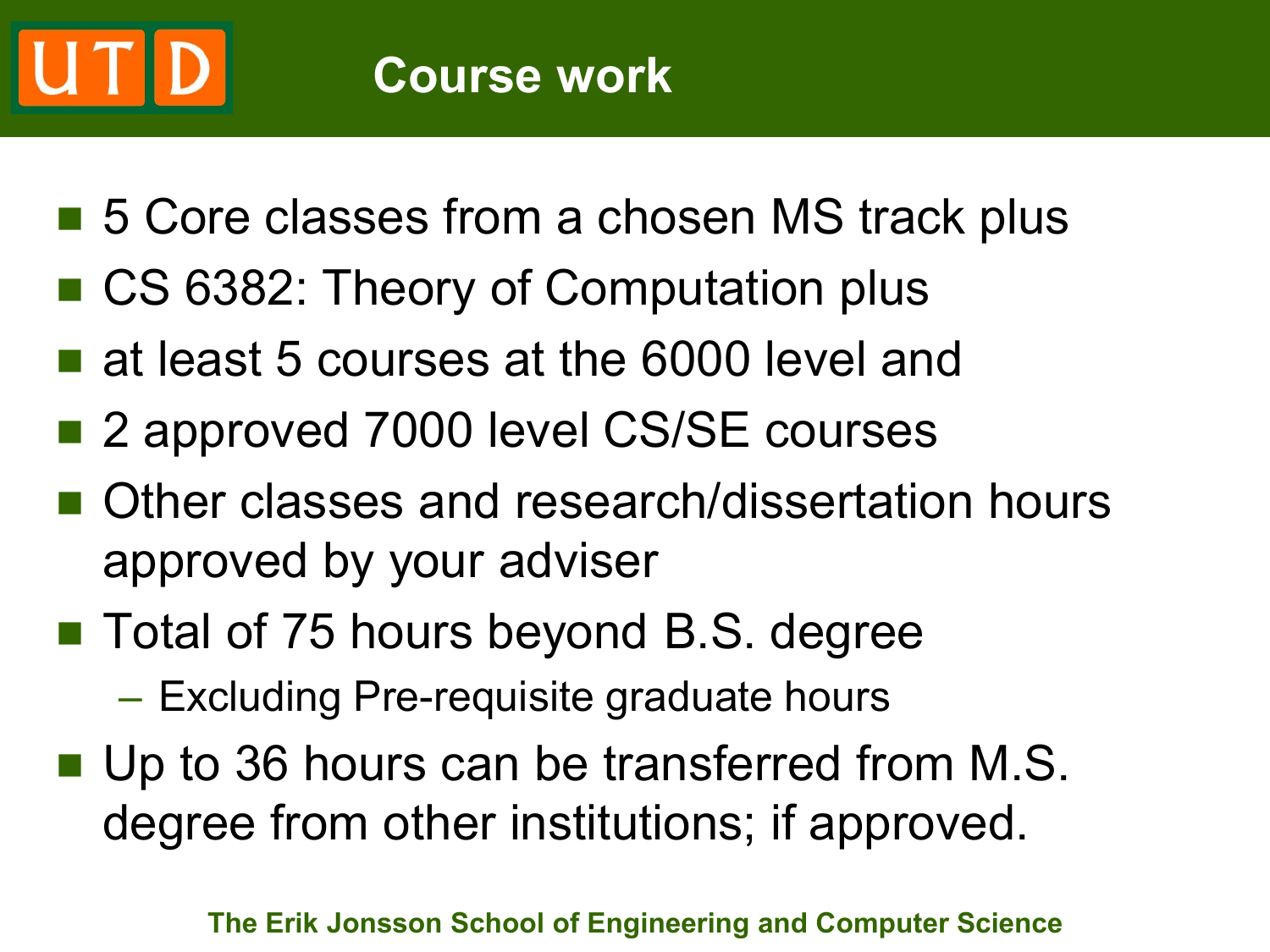- 5 Core classes from a chosen MS track plus
- CS 6382: Theory of Computation plus
- **at least 5 courses at the 6000 level and**
- 2 approved 7000 level CS/SE courses
- Other classes and research/dissertation hours approved by your adviser
- Total of 75 hours beyond B.S. degree
	- Excluding Pre-requisite graduate hours
- Up to 36 hours can be transferred from M.S. degree from other institutions; if approved.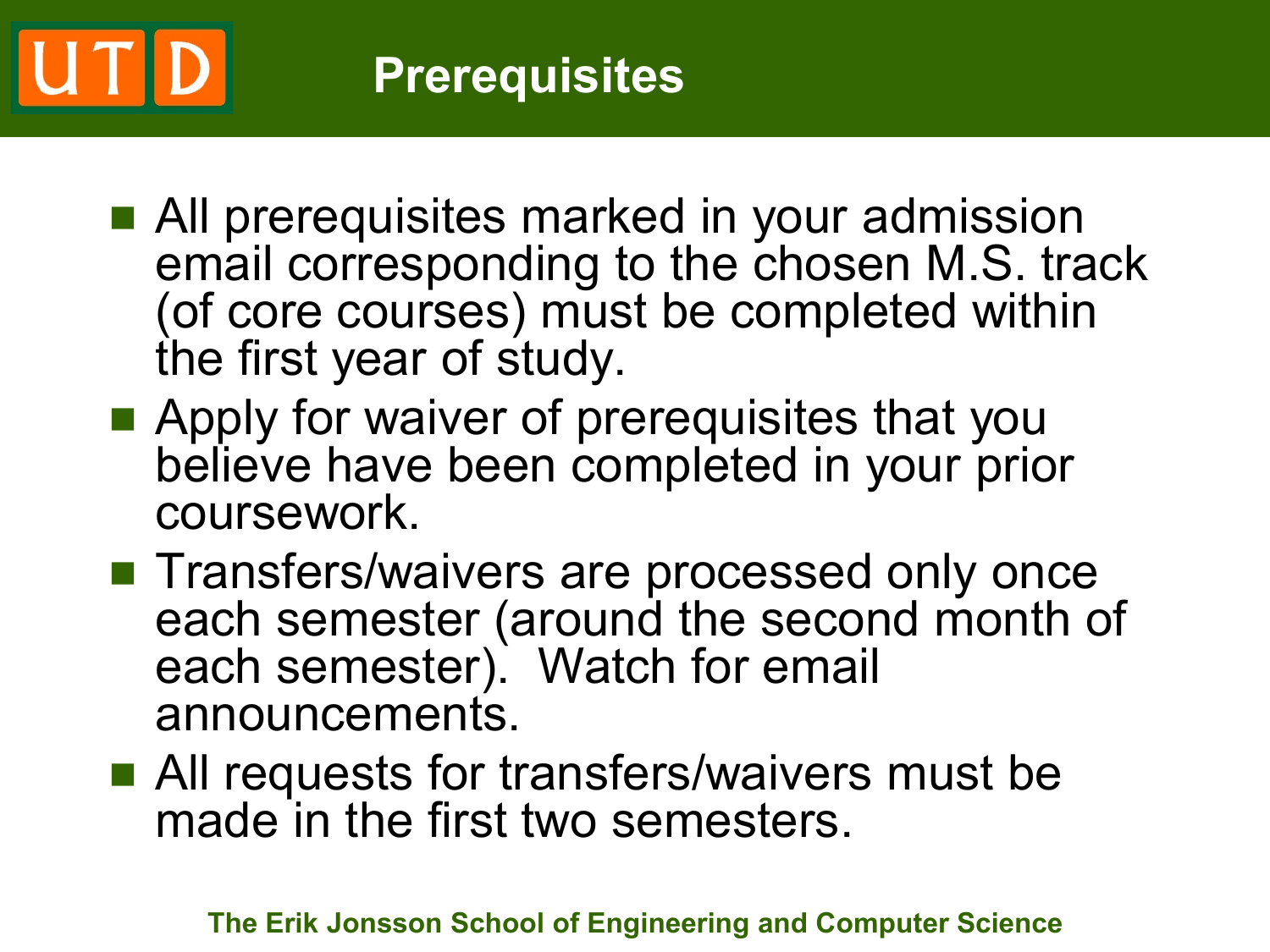# **Prerequisites**

- **All prerequisites marked in your admission** email corresponding to the chosen M.S. track (of core courses) must be completed within the first year of study.
- **Apply for waiver of prerequisites that you** believe have been completed in your prior coursework.
- **Transfers/waivers are processed only once** each semester (around the second month of each semester). Watch for email announcements.
- All requests for transfers/waivers must be made in the first two semesters.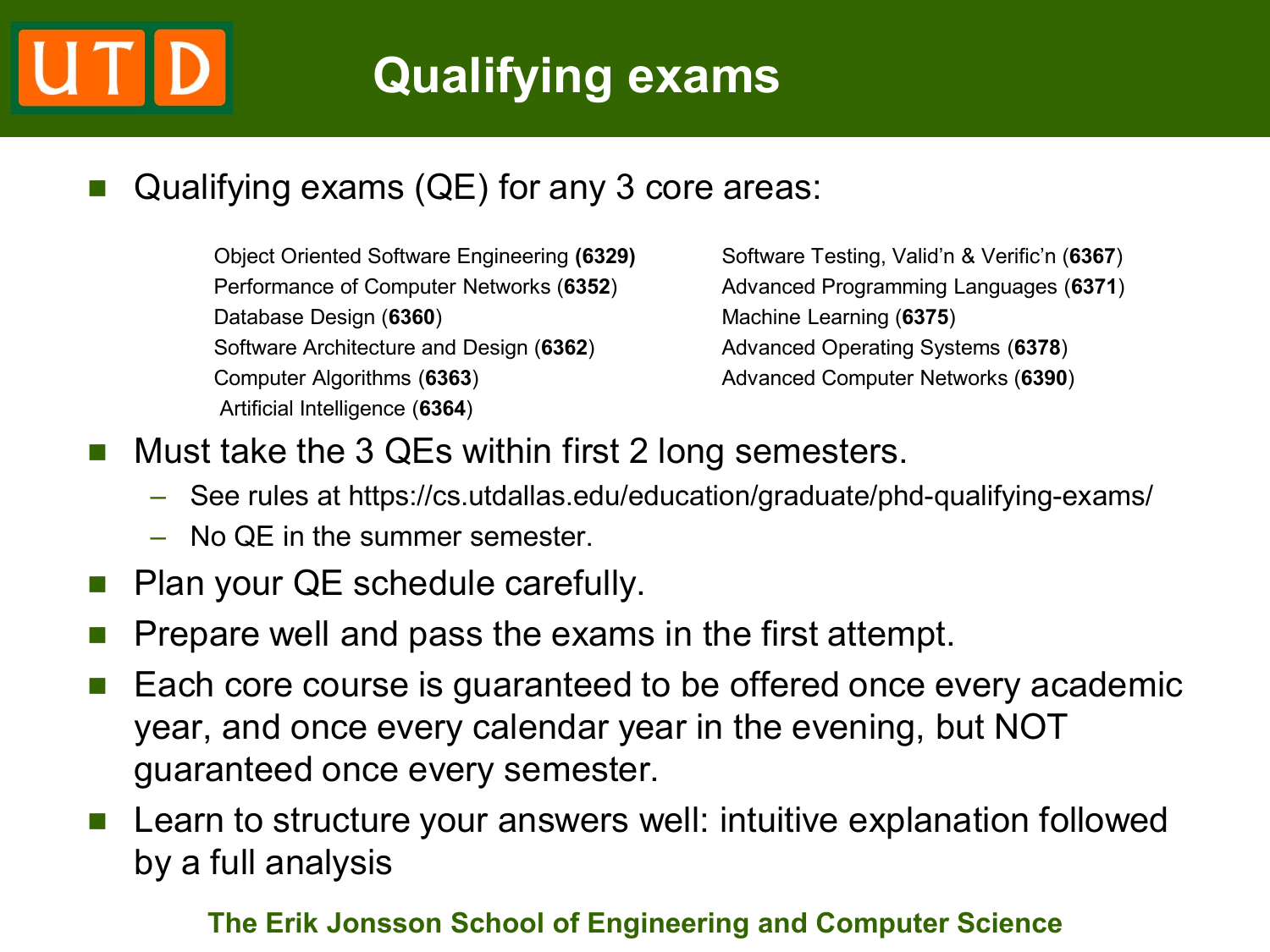### Qualifying exams (QE) for any 3 core areas:

Object Oriented Software Engineering **(6329)** Software Testing, Valid'n & Verific'n (**6367**) Performance of Computer Networks (**6352**) Advanced Programming Languages (**6371**) Database Design (6360) Machine Learning (6375) Software Architecture and Design (**6362**) Advanced Operating Systems (**6378**) Computer Algorithms (**6363**) Advanced Computer Networks (**6390**) Artificial Intelligence (**6364**)

- Must take the 3 QEs within first 2 long semesters.
	- See rules at https://cs.utdallas.edu/education/graduate/phd-qualifying-exams/
	- No QE in the summer semester.
- Plan your QE schedule carefully.
- Prepare well and pass the exams in the first attempt.
- Each core course is guaranteed to be offered once every academic year, and once every calendar year in the evening, but NOT guaranteed once every semester.
- **Learn to structure your answers well: intuitive explanation followed** by a full analysis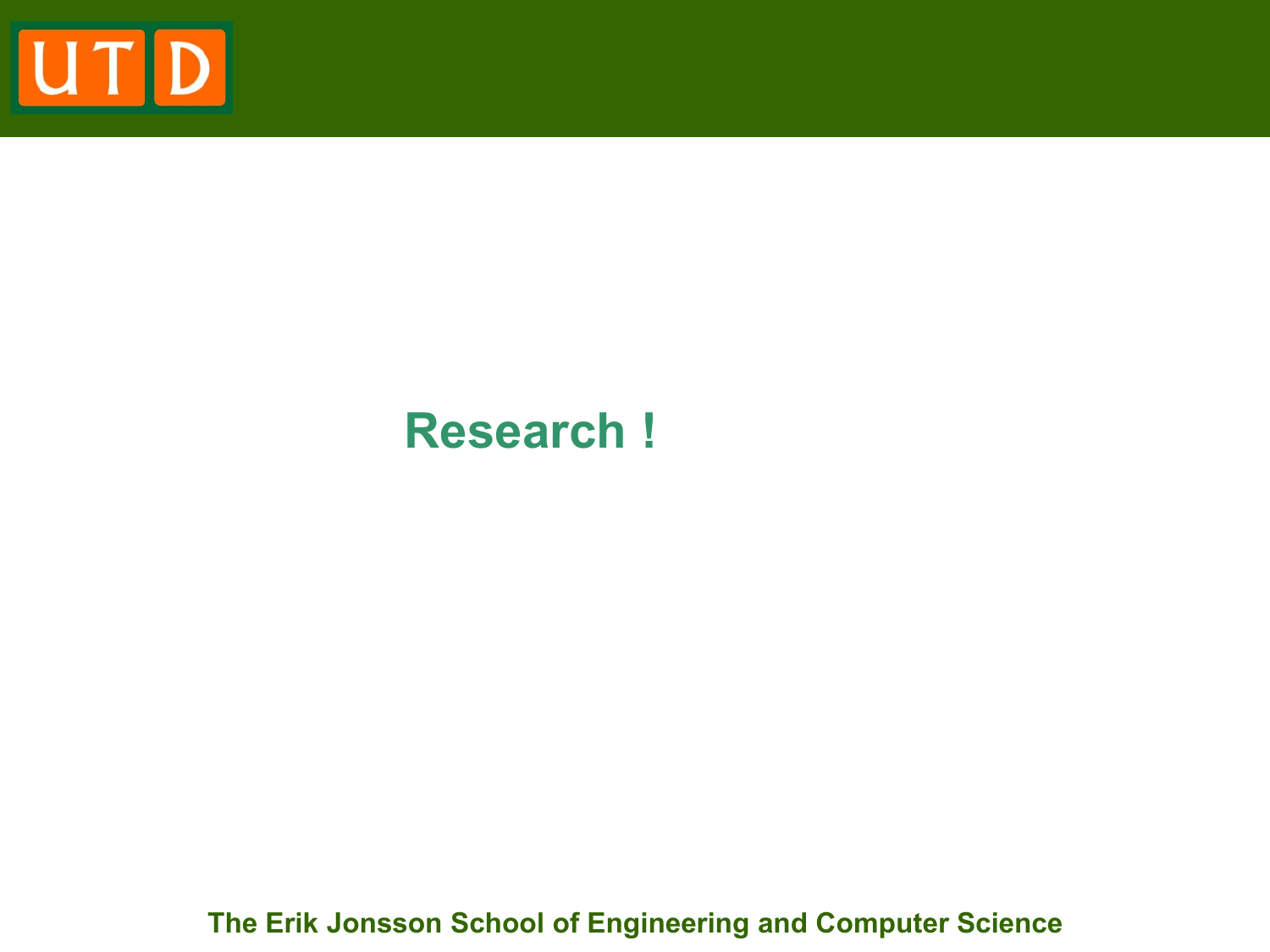

### **Research !**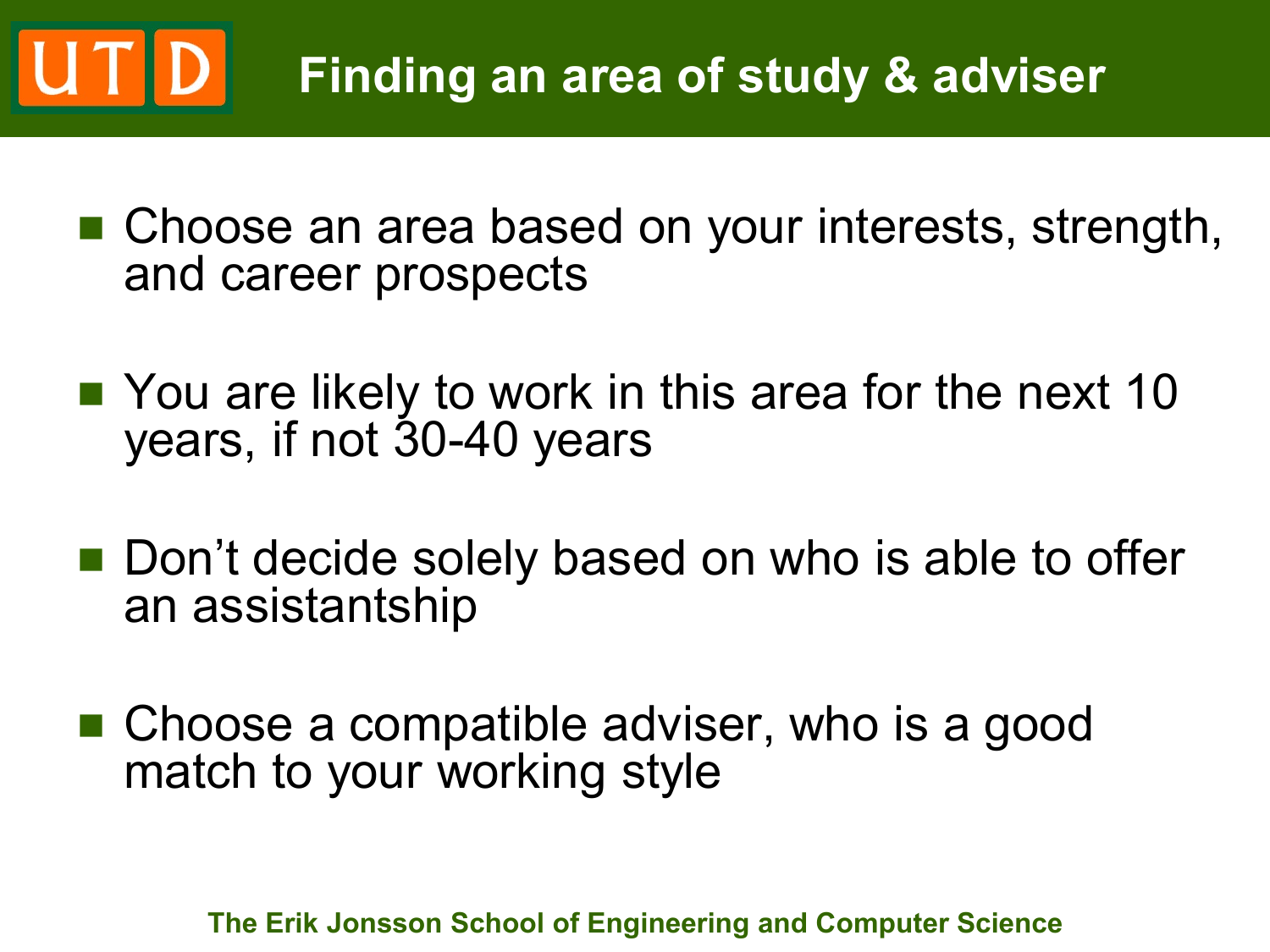### UTD **Finding an area of study & adviser**

- Choose an area based on your interests, strength, and career prospects
- You are likely to work in this area for the next 10 years, if not 30-40 years
- Don't decide solely based on who is able to offer an assistantship
- Choose a compatible adviser, who is a good match to your working style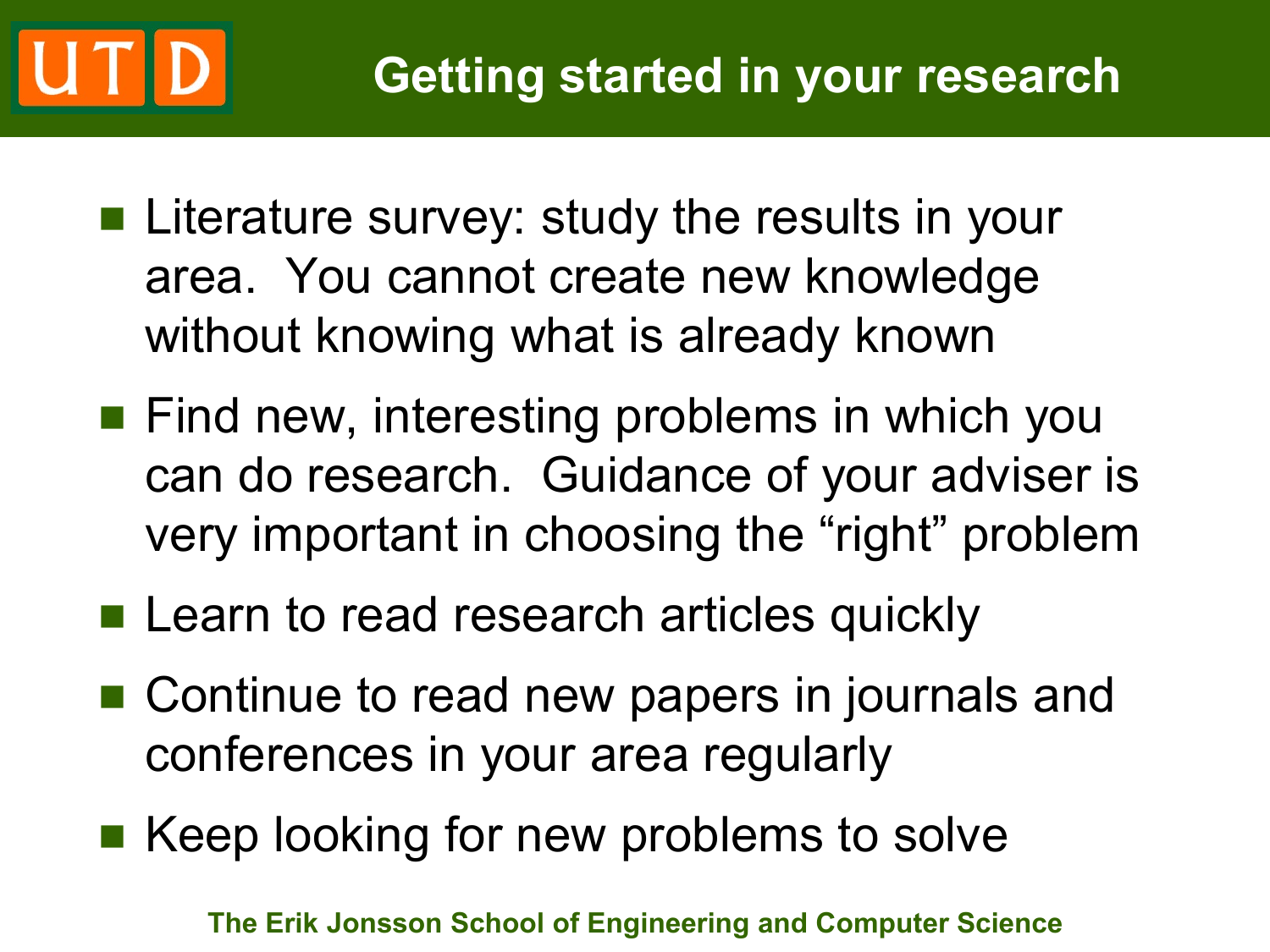- Literature survey: study the results in your area. You cannot create new knowledge without knowing what is already known
- **Find new, interesting problems in which you** can do research. Guidance of your adviser is very important in choosing the "right" problem
- **Learn to read research articles quickly**
- Continue to read new papers in journals and conferences in your area regularly
- Keep looking for new problems to solve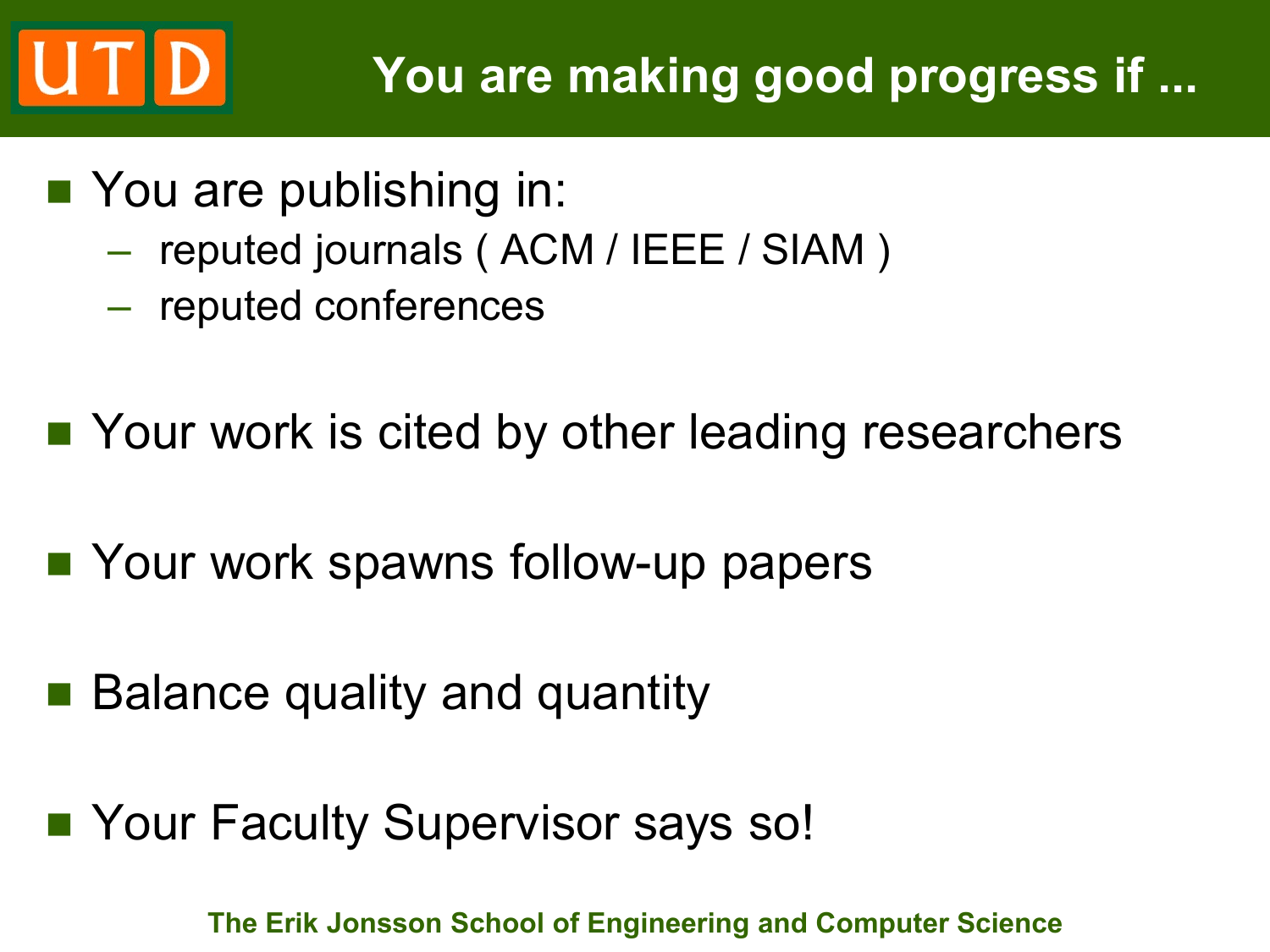# **UTD**

- You are publishing in:
	- reputed journals ( ACM / IEEE / SIAM )
	- reputed conferences
- Your work is cited by other leading researchers
- Your work spawns follow-up papers
- Balance quality and quantity
- Your Faculty Supervisor says so!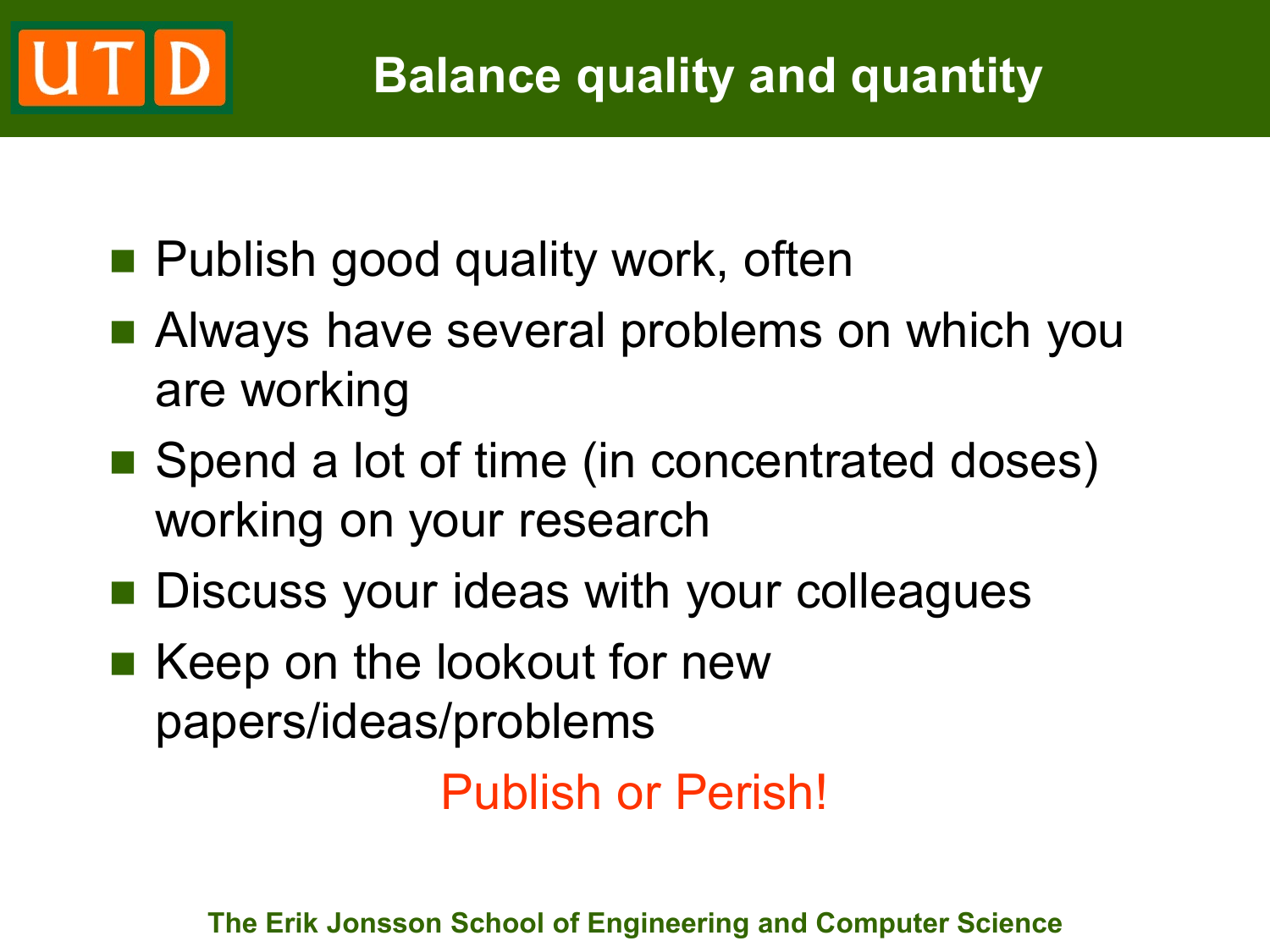### **Balance quality and quantity**

- **Publish good quality work, often**
- **Always have several problems on which you** are working
- Spend a lot of time (in concentrated doses) working on your research
- **Discuss your ideas with your colleagues**
- Keep on the lookout for new papers/ideas/problems

Publish or Perish!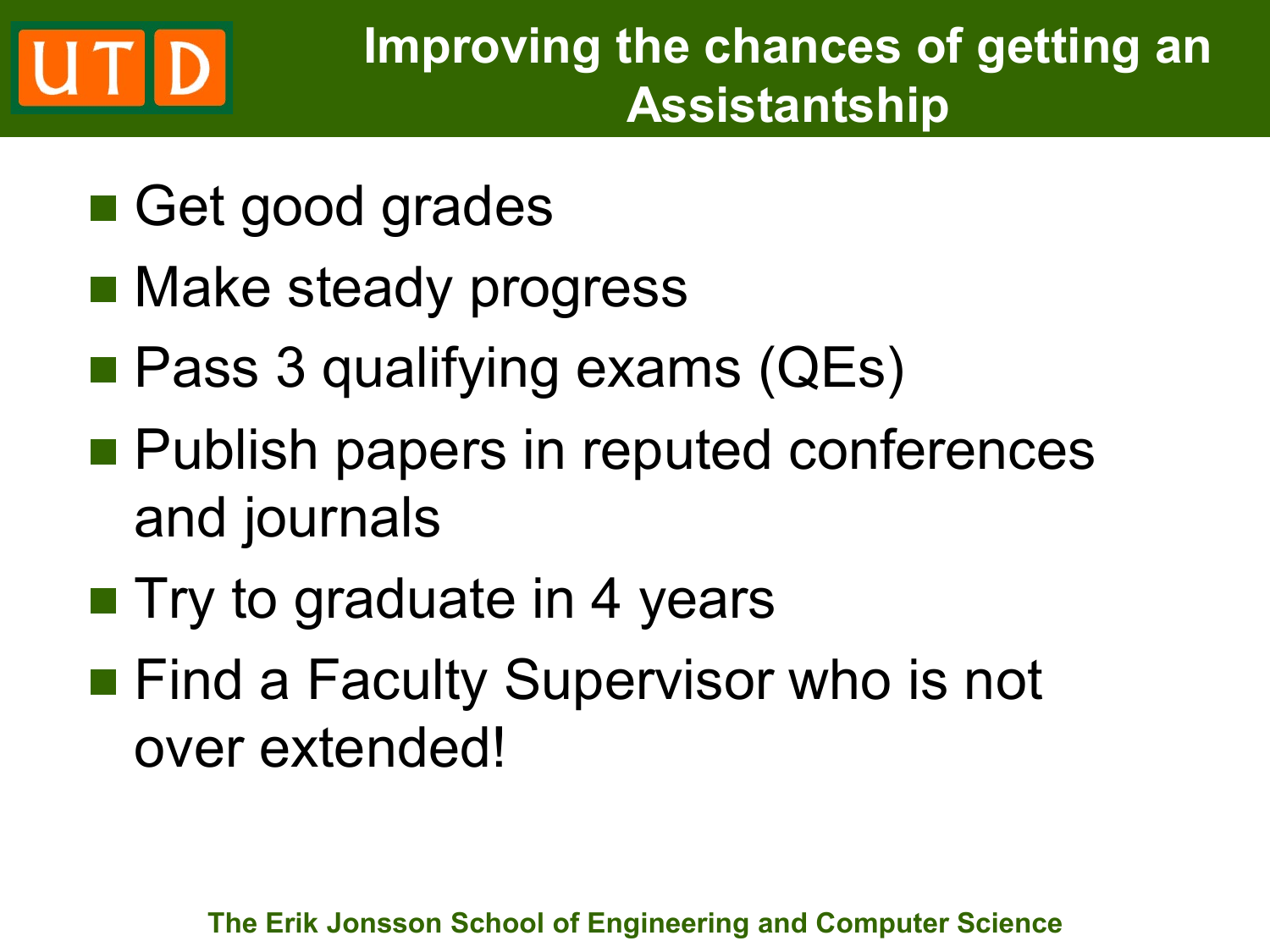# UTD

- Get good grades
- Make steady progress
- Pass 3 qualifying exams (QEs)
- **Publish papers in reputed conferences** and journals
- **Try to graduate in 4 years**
- **Find a Faculty Supervisor who is not** over extended!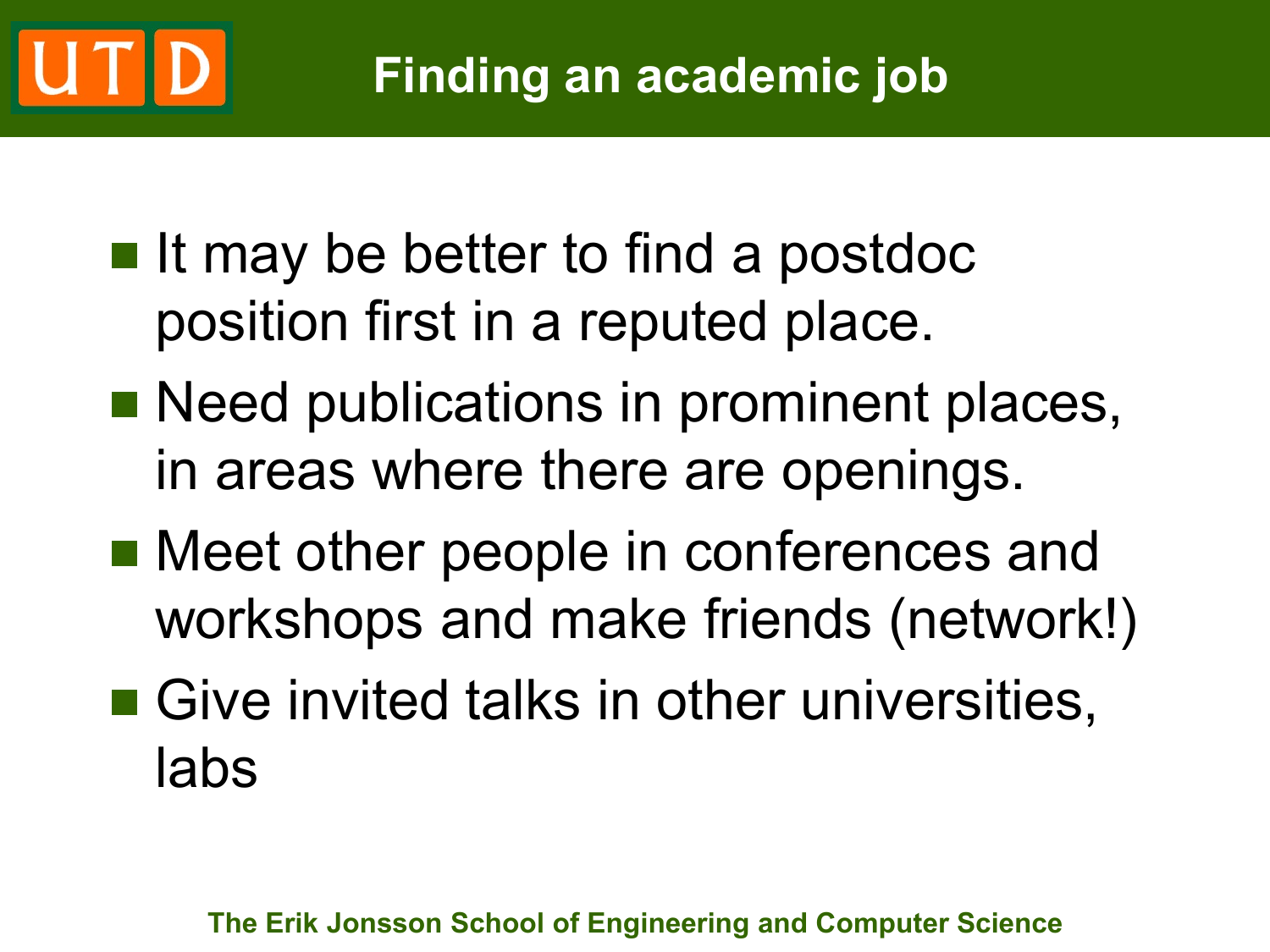## **Finding an academic job**

- $\blacksquare$  It may be better to find a postdoc position first in a reputed place.
- **Need publications in prominent places,** in areas where there are openings.
- Meet other people in conferences and workshops and make friends (network!)
- Give invited talks in other universities, labs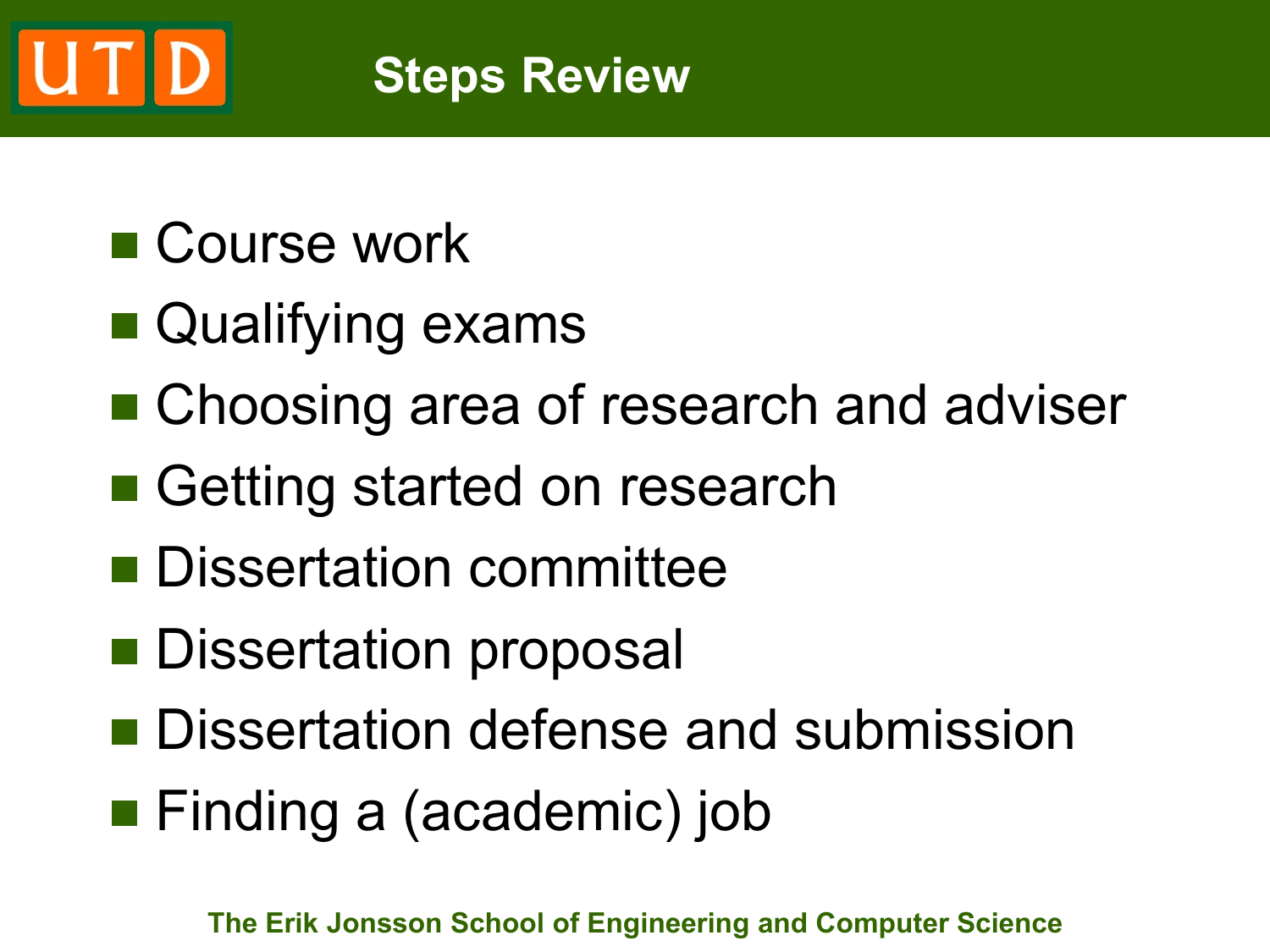### UTD **Steps Review**

# ■ Course work

- Qualifying exams
- Choosing area of research and adviser
- Getting started on research
- **Dissertation committee**
- **Dissertation proposal**
- **Dissertation defense and submission**
- **Finding a (academic) job**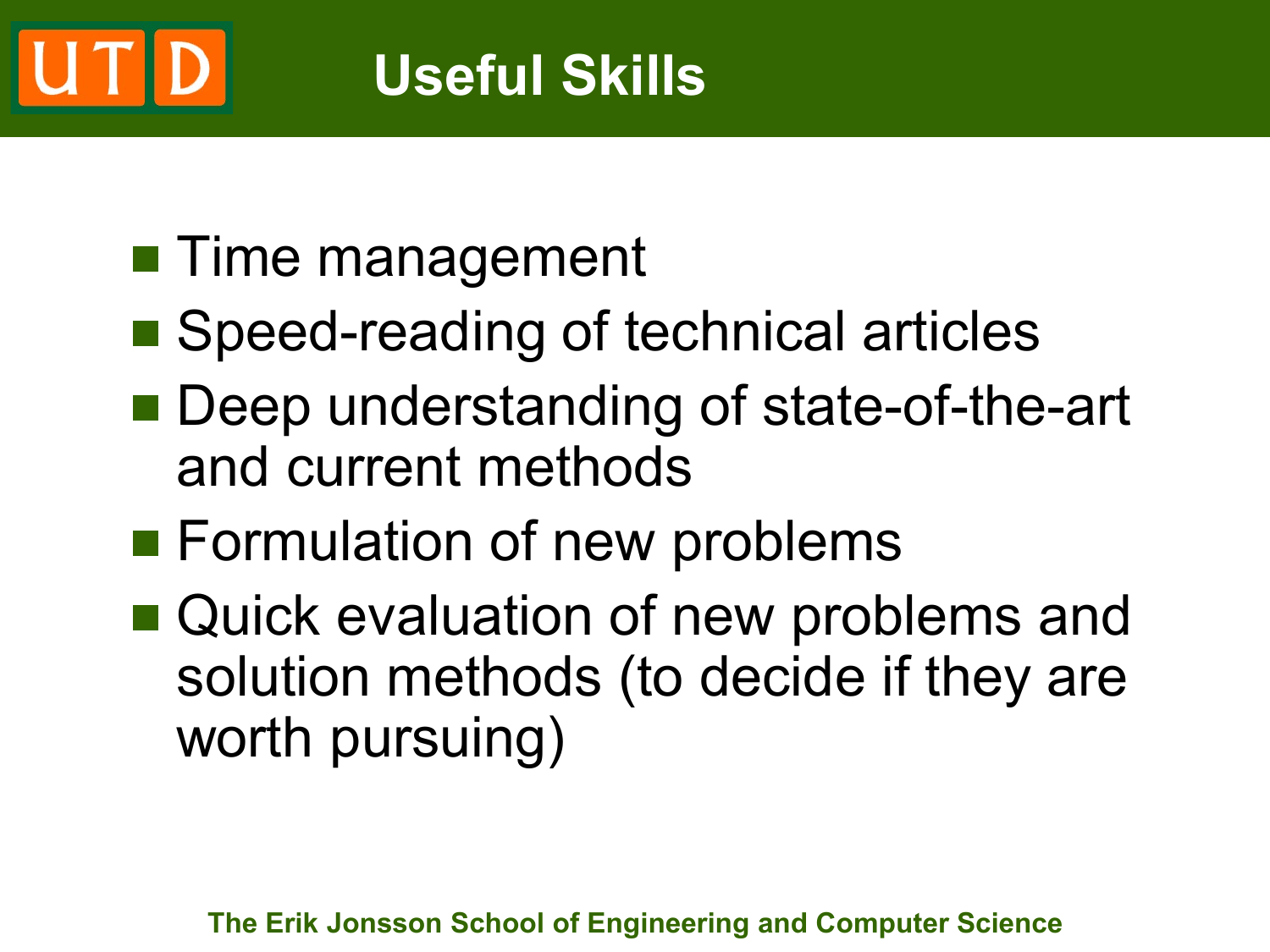# **Useful Skills**

- **Time management**
- Speed-reading of technical articles
- Deep understanding of state-of-the-art and current methods
- **Formulation of new problems**
- Quick evaluation of new problems and solution methods (to decide if they are worth pursuing)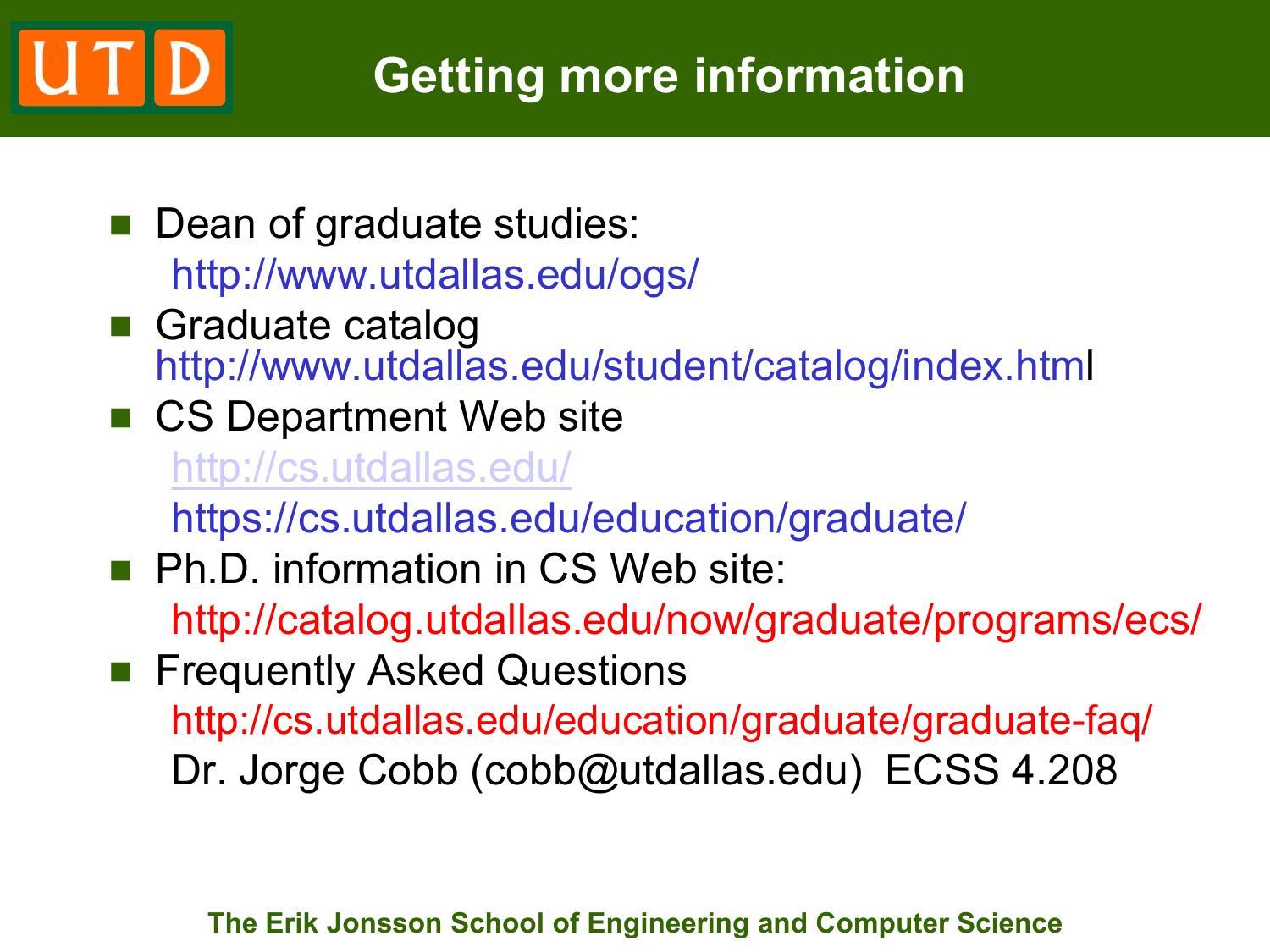# **Getting more information**

- Dean of graduate studies: http://www.utdallas.edu/ogs/
- **Graduate catalog** http://www.utdallas.edu/student/catalog/index.html
- CS Department Web site

<http://cs.utdallas.edu/>

https://cs.utdallas.edu/education/graduate/

**Ph.D. information in CS Web site:** 

http://catalog.utdallas.edu/now/graduate/programs/ecs/

**Figuently Asked Questions** http://cs.utdallas.edu/education/graduate/graduate-faq/ Dr. Jorge Cobb (cobb@utdallas.edu) ECSS 4.208